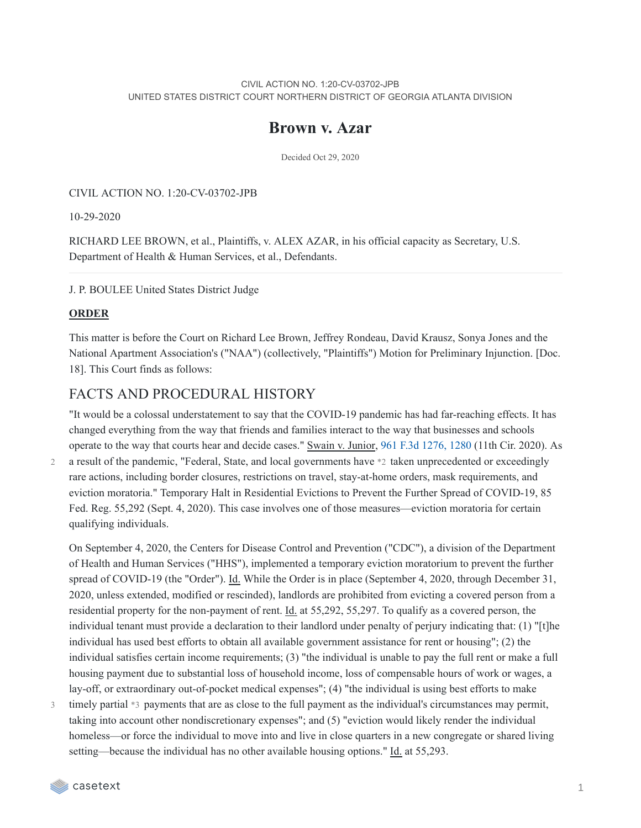#### CIVIL ACTION NO. 1:20-CV-03702-JPB UNITED STATES DISTRICT COURT NORTHERN DISTRICT OF GEORGIA ATLANTA DIVISION

## **Brown v. Azar**

Decided Oct 29, 2020

CIVIL ACTION NO. 1:20-CV-03702-JPB

10-29-2020

RICHARD LEE BROWN, et al., Plaintiffs, v. ALEX AZAR, in his official capacity as Secretary, U.S. Department of Health & Human Services, et al., Defendants.

J. P. BOULEE United States District Judge

#### **ORDER**

This matter is before the Court on Richard Lee Brown, Jeffrey Rondeau, David Krausz, Sonya Jones and the National Apartment Association's ("NAA") (collectively, "Plaintiffs") Motion for Preliminary Injunction. [Doc. 18]. This Court finds as follows:

### FACTS AND PROCEDURAL HISTORY

"It would be a colossal understatement to say that the COVID-19 pandemic has had far-reaching effects. It has changed everything from the way that friends and families interact to the way that businesses and schools operate to the way that courts hear and decide cases." Swain v. Junior, 961 F.3d [1276,](https://casetext.com/case/swain-v-junior-2#p1280) 1280 (11th Cir. 2020). As a result of the pandemic, "Federal, State, and local governments have \*2 taken unprecedented or exceedingly

2

rare actions, including border closures, restrictions on travel, stay-at-home orders, mask requirements, and eviction moratoria." Temporary Halt in Residential Evictions to Prevent the Further Spread of COVID-19, 85 Fed. Reg. 55,292 (Sept. 4, 2020). This case involves one of those measures—eviction moratoria for certain qualifying individuals.

On September 4, 2020, the Centers for Disease Control and Prevention ("CDC"), a division of the Department of Health and Human Services ("HHS"), implemented a temporary eviction moratorium to prevent the further spread of COVID-19 (the "Order"). Id. While the Order is in place (September 4, 2020, through December 31, 2020, unless extended, modified or rescinded), landlords are prohibited from evicting a covered person from a residential property for the non-payment of rent. Id. at 55,292, 55,297. To qualify as a covered person, the individual tenant must provide a declaration to their landlord under penalty of perjury indicating that: (1) "[t]he individual has used best efforts to obtain all available government assistance for rent or housing"; (2) the individual satisfies certain income requirements; (3) "the individual is unable to pay the full rent or make a full housing payment due to substantial loss of household income, loss of compensable hours of work or wages, a lay-off, or extraordinary out-of-pocket medical expenses"; (4) "the individual is using best efforts to make

timely partial \*3 payments that are as close to the full payment as the individual's circumstances may permit, taking into account other nondiscretionary expenses"; and (5) "eviction would likely render the individual homeless—or force the individual to move into and live in close quarters in a new congregate or shared living setting—because the individual has no other available housing options." Id. at 55,293. 3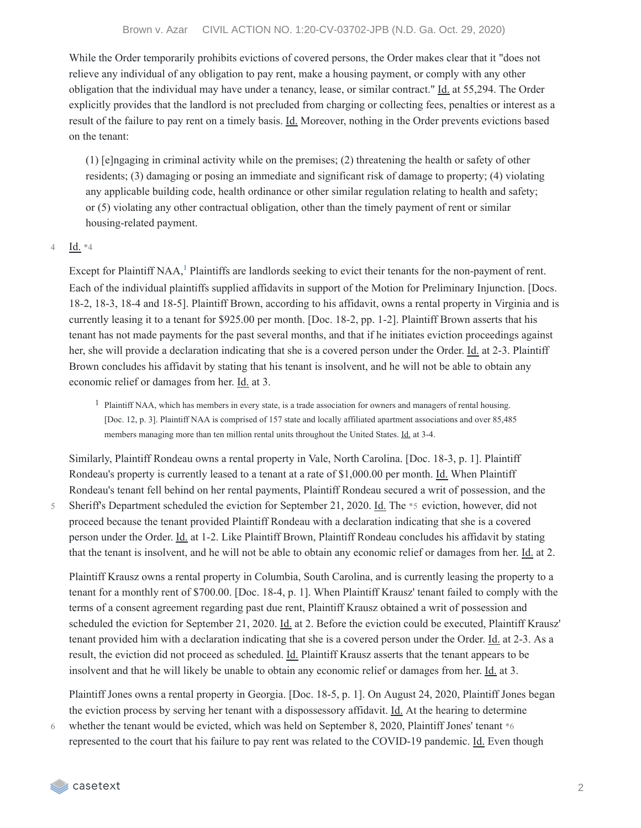While the Order temporarily prohibits evictions of covered persons, the Order makes clear that it "does not relieve any individual of any obligation to pay rent, make a housing payment, or comply with any other obligation that the individual may have under a tenancy, lease, or similar contract." Id. at 55,294. The Order explicitly provides that the landlord is not precluded from charging or collecting fees, penalties or interest as a result of the failure to pay rent on a timely basis. Id. Moreover, nothing in the Order prevents evictions based on the tenant:

(1) [e]ngaging in criminal activity while on the premises; (2) threatening the health or safety of other residents; (3) damaging or posing an immediate and significant risk of damage to property; (4) violating any applicable building code, health ordinance or other similar regulation relating to health and safety; or (5) violating any other contractual obligation, other than the timely payment of rent or similar housing-related payment.

#### Id. \*4 4

Except for Plaintiff NAA,<sup>[1](https://casetext.com/_print/doc/brown-v-azar?_printIncludeHighlights=false&_printIncludeKeyPassages=false&_printIsTwoColumn=undefined#N196670)</sup> Plaintiffs are landlords seeking to evict their tenants for the non-payment of rent. Each of the individual plaintiffs supplied affidavits in support of the Motion for Preliminary Injunction. [Docs. 18-2, 18-3, 18-4 and 18-5]. Plaintiff Brown, according to his affidavit, owns a rental property in Virginia and is currently leasing it to a tenant for \$925.00 per month. [Doc. 18-2, pp. 1-2]. Plaintiff Brown asserts that his tenant has not made payments for the past several months, and that if he initiates eviction proceedings against her, she will provide a declaration indicating that she is a covered person under the Order. Id. at 2-3. Plaintiff Brown concludes his affidavit by stating that his tenant is insolvent, and he will not be able to obtain any economic relief or damages from her. Id. at 3.

 $1$  Plaintiff NAA, which has members in every state, is a trade association for owners and managers of rental housing. [Doc. 12, p. 3]. Plaintiff NAA is comprised of 157 state and locally affiliated apartment associations and over 85,485 members managing more than ten million rental units throughout the United States. Id. at 3-4.

Similarly, Plaintiff Rondeau owns a rental property in Vale, North Carolina. [Doc. 18-3, p. 1]. Plaintiff Rondeau's property is currently leased to a tenant at a rate of \$1,000.00 per month. Id. When Plaintiff Rondeau's tenant fell behind on her rental payments, Plaintiff Rondeau secured a writ of possession, and the Sheriff's Department scheduled the eviction for September 21, 2020. Id. The \*5 eviction, however, did not proceed because the tenant provided Plaintiff Rondeau with a declaration indicating that she is a covered person under the Order. Id. at 1-2. Like Plaintiff Brown, Plaintiff Rondeau concludes his affidavit by stating that the tenant is insolvent, and he will not be able to obtain any economic relief or damages from her. Id. at 2.

Plaintiff Krausz owns a rental property in Columbia, South Carolina, and is currently leasing the property to a tenant for a monthly rent of \$700.00. [Doc. 18-4, p. 1]. When Plaintiff Krausz' tenant failed to comply with the terms of a consent agreement regarding past due rent, Plaintiff Krausz obtained a writ of possession and scheduled the eviction for September 21, 2020. Id. at 2. Before the eviction could be executed, Plaintiff Krausz' tenant provided him with a declaration indicating that she is a covered person under the Order. Id. at 2-3. As a result, the eviction did not proceed as scheduled. Id. Plaintiff Krausz asserts that the tenant appears to be insolvent and that he will likely be unable to obtain any economic relief or damages from her. Id. at 3.

Plaintiff Jones owns a rental property in Georgia. [Doc. 18-5, p. 1]. On August 24, 2020, Plaintiff Jones began the eviction process by serving her tenant with a dispossessory affidavit. Id. At the hearing to determine

whether the tenant would be evicted, which was held on September 8, 2020, Plaintiff Jones' tenant  $*6$ represented to the court that his failure to pay rent was related to the COVID-19 pandemic. Id. Even though 6

5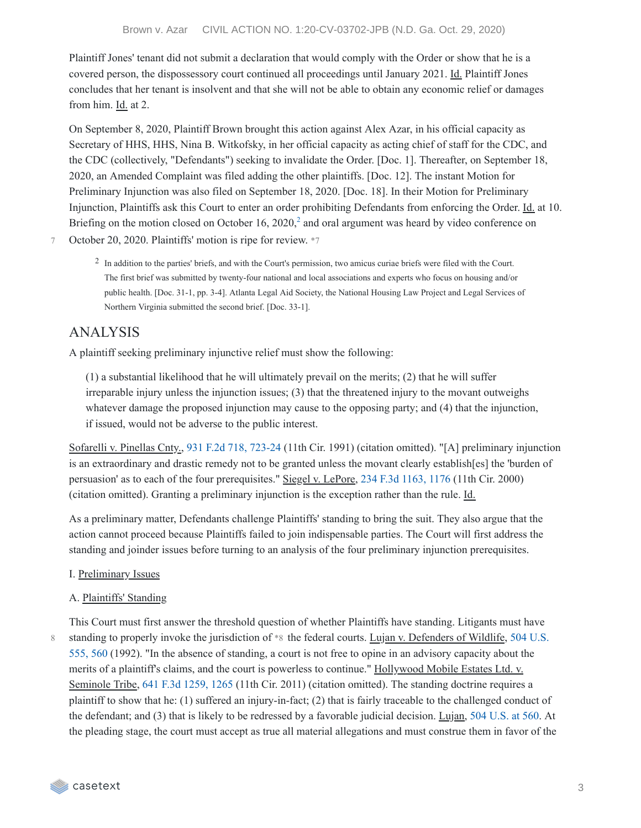Plaintiff Jones' tenant did not submit a declaration that would comply with the Order or show that he is a covered person, the dispossessory court continued all proceedings until January 2021. Id. Plaintiff Jones concludes that her tenant is insolvent and that she will not be able to obtain any economic relief or damages from him. Id. at 2.

On September 8, 2020, Plaintiff Brown brought this action against Alex Azar, in his official capacity as Secretary of HHS, HHS, Nina B. Witkofsky, in her official capacity as acting chief of staff for the CDC, and the CDC (collectively, "Defendants") seeking to invalidate the Order. [Doc. 1]. Thereafter, on September 18, 2020, an Amended Complaint was filed adding the other plaintiffs. [Doc. 12]. The instant Motion for Preliminary Injunction was also filed on September 18, 2020. [Doc. 18]. In their Motion for Preliminary Injunction, Plaintiffs ask this Court to enter an order prohibiting Defendants from enforcing the Order. Id. at 10. Briefing on the motion closed on October 16,  $2020<sub>i</sub><sup>2</sup>$  $2020<sub>i</sub><sup>2</sup>$  and oral argument was heard by video conference on

October 20, 2020. Plaintiffs' motion is ripe for review. \*7 7

> <sup>2</sup> In addition to the parties' briefs, and with the Court's permission, two amicus curiae briefs were filed with the Court. The first brief was submitted by twenty-four national and local associations and experts who focus on housing and/or public health. [Doc. 31-1, pp. 3-4]. Atlanta Legal Aid Society, the National Housing Law Project and Legal Services of Northern Virginia submitted the second brief. [Doc. 33-1].

# ANALYSIS

A plaintiff seeking preliminary injunctive relief must show the following:

(1) a substantial likelihood that he will ultimately prevail on the merits; (2) that he will suffer irreparable injury unless the injunction issues; (3) that the threatened injury to the movant outweighs whatever damage the proposed injunction may cause to the opposing party; and (4) that the injunction, if issued, would not be adverse to the public interest.

Sofarelli v. Pinellas Cnty., 931 F.2d 718, [723-24](https://casetext.com/case/sofarelli-v-pinellas-county#p723) (11th Cir. 1991) (citation omitted). "[A] preliminary injunction is an extraordinary and drastic remedy not to be granted unless the movant clearly establish[es] the 'burden of persuasion' as to each of the four prerequisites." Siegel v. LePore, 234 F.3d [1163,](https://casetext.com/case/siegel-v-lepore-2#p1176) 1176 (11th Cir. 2000) (citation omitted). Granting a preliminary injunction is the exception rather than the rule. Id.

As a preliminary matter, Defendants challenge Plaintiffs' standing to bring the suit. They also argue that the action cannot proceed because Plaintiffs failed to join indispensable parties. The Court will first address the standing and joinder issues before turning to an analysis of the four preliminary injunction prerequisites.

#### I. Preliminary Issues

#### A. Plaintiffs' Standing

8

This Court must first answer the threshold question of whether Plaintiffs have standing. Litigants must have standing to properly invoke the [jurisdiction](https://casetext.com/case/lujan-v-defenders-of-wildlife#p560) of \*8 the federal courts. Lujan v. Defenders of Wildlife, 504 U.S. 555, 560 (1992). "In the absence of standing, a court is not free to opine in an advisory capacity about the merits of a plaintiff's claims, and the court is powerless to continue." Hollywood Mobile Estates Ltd. v. Seminole Tribe, 641 F.3d [1259,](https://casetext.com/case/hollywood-mobile-estates-v-seminole-tribe#p1265) 1265 (11th Cir. 2011) (citation omitted). The standing doctrine requires a plaintiff to show that he: (1) suffered an injury-in-fact; (2) that is fairly traceable to the challenged conduct of the defendant; and (3) that is likely to be redressed by a favorable judicial decision. Lujan, 504 [U.S.](https://casetext.com/case/lujan-v-defenders-of-wildlife#p560) at 560. At the pleading stage, the court must accept as true all material allegations and must construe them in favor of the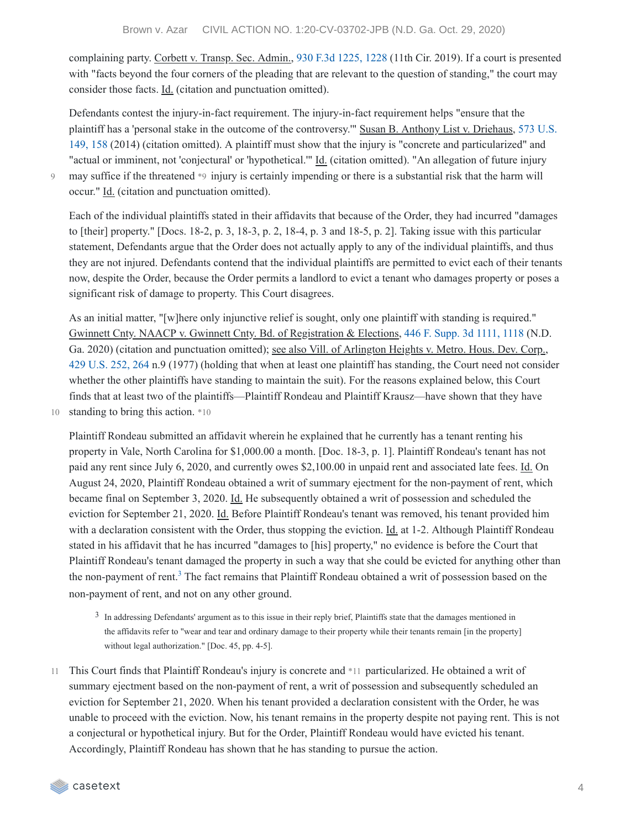complaining party. Corbett v. Transp. Sec. Admin., 930 F.3d [1225,](https://casetext.com/case/corbett-v-transp-sec-admin-6#p1228) 1228 (11th Cir. 2019). If a court is presented with "facts beyond the four corners of the pleading that are relevant to the question of standing," the court may consider those facts. Id. (citation and punctuation omitted).

Defendants contest the injury-in-fact requirement. The injury-in-fact requirement helps "ensure that the plaintiff has a 'personal stake in the outcome of the controversy.'" Susan B. Anthony List v. Driehaus, 573 U.S. 149, 158 (2014) (citation omitted). A plaintiff must show that the injury is "concrete and [particularized"](https://casetext.com/case/list-v-driehaus#p158) and "actual or imminent, not 'conjectural' or 'hypothetical."" Id. (citation omitted). "An allegation of future injury may suffice if the threatened \*9 injury is certainly impending or there is a substantial risk that the harm will occur." Id. (citation and punctuation omitted).

 $Q$ 

Each of the individual plaintiffs stated in their affidavits that because of the Order, they had incurred "damages to [their] property." [Docs. 18-2, p. 3, 18-3, p. 2, 18-4, p. 3 and 18-5, p. 2]. Taking issue with this particular statement, Defendants argue that the Order does not actually apply to any of the individual plaintiffs, and thus they are not injured. Defendants contend that the individual plaintiffs are permitted to evict each of their tenants now, despite the Order, because the Order permits a landlord to evict a tenant who damages property or poses a significant risk of damage to property. This Court disagrees.

As an initial matter, "[w]here only injunctive relief is sought, only one plaintiff with standing is required." Gwinnett Cnty. NAACP v. Gwinnett Cnty. Bd. of Registration & Elections, 446 F. [Supp.](https://casetext.com/case/gwinnett-cnty-naacp-v-gwinnett-cnty-bd-of-registration-elections#p1118) 3d 1111, 1118 (N.D. Ga. 2020) (citation and punctuation omitted); see also Vill. of Arlington Heights v. Metro. Hous. Dev. Corp., 429 [U.S.](https://casetext.com/case/village-of-arlington-heights-v-metropolitan-housing-development-corporation#p264) 252, 264 n.9 (1977) (holding that when at least one plaintiff has standing, the Court need not consider whether the other plaintiffs have standing to maintain the suit). For the reasons explained below, this Court finds that at least two of the plaintiffs—Plaintiff Rondeau and Plaintiff Krausz—have shown that they have 10 standing to bring this action. \*10

Plaintiff Rondeau submitted an affidavit wherein he explained that he currently has a tenant renting his property in Vale, North Carolina for \$1,000.00 a month. [Doc. 18-3, p. 1]. Plaintiff Rondeau's tenant has not paid any rent since July 6, 2020, and currently owes \$2,100.00 in unpaid rent and associated late fees. Id. On August 24, 2020, Plaintiff Rondeau obtained a writ of summary ejectment for the non-payment of rent, which became final on September 3, 2020. Id. He subsequently obtained a writ of possession and scheduled the eviction for September 21, 2020. Id. Before Plaintiff Rondeau's tenant was removed, his tenant provided him with a declaration consistent with the Order, thus stopping the eviction. Id. at 1-2. Although Plaintiff Rondeau stated in his affidavit that he has incurred "damages to [his] property," no evidence is before the Court that Plaintiff Rondeau's tenant damaged the property in such a way that she could be evicted for anything other than the non-payment of rent.<sup>[3](https://casetext.com/_print/doc/brown-v-azar?_printIncludeHighlights=false&_printIncludeKeyPassages=false&_printIsTwoColumn=undefined#N196841)</sup> The fact remains that Plaintiff Rondeau obtained a writ of possession based on the non-payment of rent, and not on any other ground.

3 In addressing Defendants' argument as to this issue in their reply brief, Plaintiffs state that the damages mentioned in the affidavits refer to "wear and tear and ordinary damage to their property while their tenants remain [in the property] without legal authorization." [Doc. 45, pp. 4-5].

This Court finds that Plaintiff Rondeau's injury is concrete and \*11 particularized. He obtained a writ of summary ejectment based on the non-payment of rent, a writ of possession and subsequently scheduled an eviction for September 21, 2020. When his tenant provided a declaration consistent with the Order, he was unable to proceed with the eviction. Now, his tenant remains in the property despite not paying rent. This is not a conjectural or hypothetical injury. But for the Order, Plaintiff Rondeau would have evicted his tenant. Accordingly, Plaintiff Rondeau has shown that he has standing to pursue the action. 11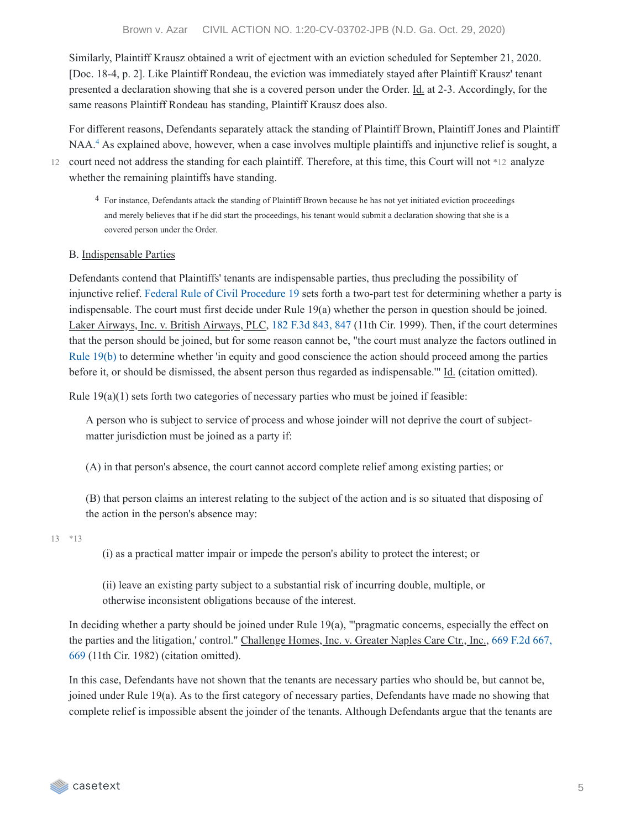Similarly, Plaintiff Krausz obtained a writ of ejectment with an eviction scheduled for September 21, 2020. [Doc. 18-4, p. 2]. Like Plaintiff Rondeau, the eviction was immediately stayed after Plaintiff Krausz' tenant presented a declaration showing that she is a covered person under the Order. Id. at 2-3. Accordingly, for the same reasons Plaintiff Rondeau has standing, Plaintiff Krausz does also.

For different reasons, Defendants separately attack the standing of Plaintiff Brown, Plaintiff Jones and Plaintiff NAA.<sup>[4](https://casetext.com/_print/doc/brown-v-azar?_printIncludeHighlights=false&_printIncludeKeyPassages=false&_printIsTwoColumn=undefined#N196859)</sup> As explained above, however, when a case involves multiple plaintiffs and injunctive relief is sought, a

12 court need not address the standing for each plaintiff. Therefore, at this time, this Court will not \*12 analyze whether the remaining plaintiffs have standing.

4 For instance, Defendants attack the standing of Plaintiff Brown because he has not yet initiated eviction proceedings and merely believes that if he did start the proceedings, his tenant would submit a declaration showing that she is a covered person under the Order.

#### B. Indispensable Parties

Defendants contend that Plaintiffs' tenants are indispensable parties, thus precluding the possibility of injunctive relief. Federal Rule of Civil [Procedure](https://casetext.com/statute/united-states-code/title-28-appendix/federal-rules-of-civil-procedure/rules-of-civil-procedure-for-the-united-states-district-courts-1/title-iii-pleadings-and-motions/rule-19-required-joinder-of-parties) 19 sets forth a two-part test for determining whether a party is indispensable. The court must first decide under Rule 19(a) whether the person in question should be joined. Laker Airways, Inc. v. British Airways, PLC, 182 F.3d [843,](https://casetext.com/case/laker-airways-inc-v-british-airways-plc#p847) 847 (11th Cir. 1999). Then, if the court determines that the person should be joined, but for some reason cannot be, "the court must analyze the factors outlined in Rule [19\(b\)](https://casetext.com/statute/united-states-code/title-28-appendix/federal-rules-of-civil-procedure/rules-of-civil-procedure-for-the-united-states-district-courts-1/title-iii-pleadings-and-motions/rule-19-required-joinder-of-parties) to determine whether 'in equity and good conscience the action should proceed among the parties before it, or should be dismissed, the absent person thus regarded as indispensable.'" Id. (citation omitted).

Rule 19(a)(1) sets forth two categories of necessary parties who must be joined if feasible:

A person who is subject to service of process and whose joinder will not deprive the court of subjectmatter jurisdiction must be joined as a party if:

(A) in that person's absence, the court cannot accord complete relief among existing parties; or

(B) that person claims an interest relating to the subject of the action and is so situated that disposing of the action in the person's absence may:

\*13 13

(i) as a practical matter impair or impede the person's ability to protect the interest; or

(ii) leave an existing party subject to a substantial risk of incurring double, multiple, or otherwise inconsistent obligations because of the interest.

In deciding whether a party should be joined under Rule 19(a), "'pragmatic concerns, especially the effect on the parties and the litigation,' control." [Challenge](https://casetext.com/case/challenge-homes-v-greater-naples-care-center#p669) Homes, Inc. v. Greater Naples Care Ctr., Inc., 669 F.2d 667, 669 (11th Cir. 1982) (citation omitted).

In this case, Defendants have not shown that the tenants are necessary parties who should be, but cannot be, joined under Rule 19(a). As to the first category of necessary parties, Defendants have made no showing that complete relief is impossible absent the joinder of the tenants. Although Defendants argue that the tenants are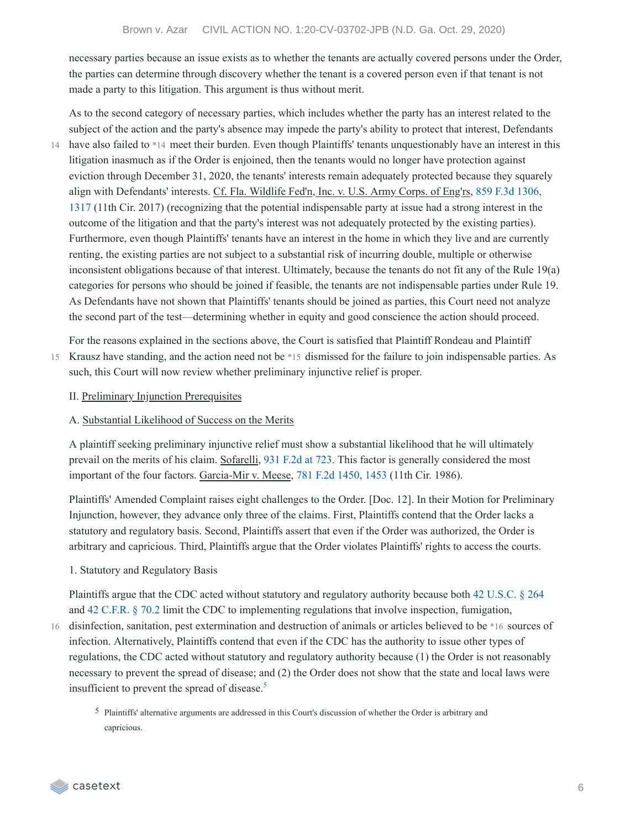necessary parties because an issue exists as to whether the tenants are actually covered persons under the Order, the parties can determine through discovery whether the tenant is a covered person even if that tenant is not made a party to this litigation. This argument is thus without merit.

As to the second category of necessary parties, which includes whether the party has an interest related to the subject of the action and the party's absence may impede the party's ability to protect that interest, Defendants have also failed to \*14 meet their burden. Even though Plaintiffs' tenants unquestionably have an interest in this litigation inasmuch as if the Order is enjoined, then the tenants would no longer have protection against eviction through December 31, 2020, the tenants' interests remain adequately protected because they squarely align with Defendants' interests. Cf. Fla. Wildlife Fed'n, Inc. v. U.S. Army Corps. of Eng'rs, 859 F.3d 1306, 1317 (11th Cir. 2017) (recognizing that the potential [indispensable](https://casetext.com/case/fla-wildlife-fedn-inc-v-us-army-corps-of-engrs#p1317) party at issue had a strong interest in the outcome of the litigation and that the party's interest was not adequately protected by the existing parties). Furthermore, even though Plaintiffs' tenants have an interest in the home in which they live and are currently renting, the existing parties are not subject to a substantial risk of incurring double, multiple or otherwise inconsistent obligations because of that interest. Ultimately, because the tenants do not fit any of the Rule 19(a) categories for persons who should be joined if feasible, the tenants are not indispensable parties under Rule 19. As Defendants have not shown that Plaintiffs' tenants should be joined as parties, this Court need not analyze the second part of the test—determining whether in equity and good conscience the action should proceed. 14

For the reasons explained in the sections above, the Court is satisfied that Plaintiff Rondeau and Plaintiff 15 Krausz have standing, and the action need not be \*15 dismissed for the failure to join indispensable parties. As such, this Court will now review whether preliminary injunctive relief is proper.

II. Preliminary Injunction Prerequisites

#### A. Substantial Likelihood of Success on the Merits

A plaintiff seeking preliminary injunctive relief must show a substantial likelihood that he will ultimately prevail on the merits of his claim. Sofarelli, 931 [F.2d](https://casetext.com/case/sofarelli-v-pinellas-county#p723) at 723. This factor is generally considered the most important of the four factors. Garcia-Mir v. Meese, 781 F.2d [1450,](https://casetext.com/case/garcia-mir-v-meese-2#p1453) 1453 (11th Cir. 1986).

Plaintiffs' Amended Complaint raises eight challenges to the Order. [Doc. 12]. In their Motion for Preliminary Injunction, however, they advance only three of the claims. First, Plaintiffs contend that the Order lacks a statutory and regulatory basis. Second, Plaintiffs assert that even if the Order was authorized, the Order is arbitrary and capricious. Third, Plaintiffs argue that the Order violates Plaintiffs' rights to access the courts.

#### 1. Statutory and Regulatory Basis

Plaintiffs argue that the CDC acted without statutory and regulatory authority because both 42 [U.S.C.](https://casetext.com/statute/united-states-code/title-42-the-public-health-and-welfare/chapter-6a-public-health-service/subchapter-ii-general-powers-and-duties/part-g-quarantine-and-inspection/section-264-regulations-to-control-communicable-diseases) § 264 and 42 [C.F.R.](https://casetext.com/regulation/code-of-federal-regulations/title-42-public-health/chapter-i-public-health-service-department-of-health-and-human-services/subchapter-f-quarantine-inspection-licensing/part-70-interstate-quarantine/702-measures-in-the-event-of-inadequate-local-control) § 70.2 limit the CDC to implementing regulations that involve inspection, fumigation,

16 disinfection, sanitation, pest extermination and destruction of animals or articles believed to be \*16 sources of infection. Alternatively, Plaintiffs contend that even if the CDC has the authority to issue other types of regulations, the CDC acted without statutory and regulatory authority because (1) the Order is not reasonably necessary to prevent the spread of disease; and (2) the Order does not show that the state and local laws were insufficient to prevent the spread of disease. [5](https://casetext.com/_print/doc/brown-v-azar?_printIncludeHighlights=false&_printIncludeKeyPassages=false&_printIsTwoColumn=undefined#N196955)

5 Plaintiffs' alternative arguments are addressed in this Court's discussion of whether the Order is arbitrary and capricious.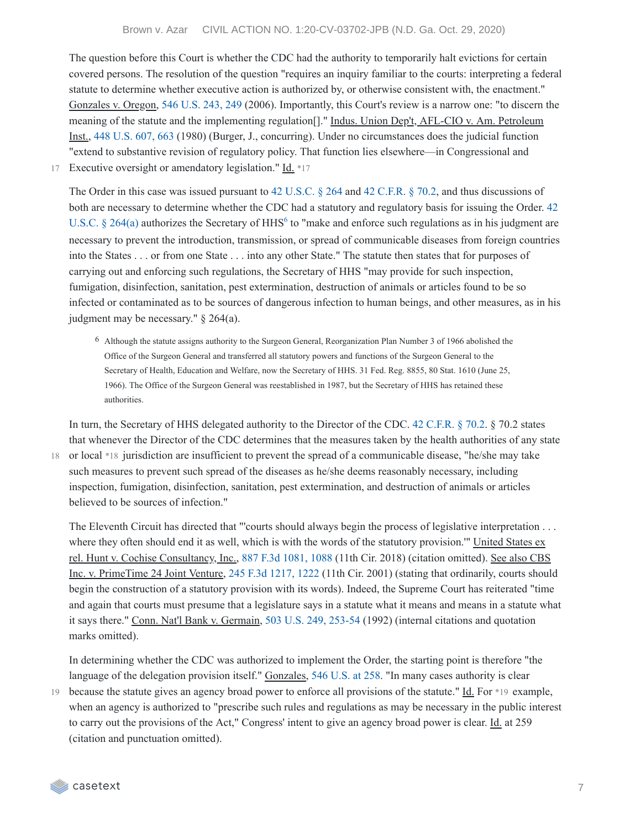The question before this Court is whether the CDC had the authority to temporarily halt evictions for certain covered persons. The resolution of the question "requires an inquiry familiar to the courts: interpreting a federal statute to determine whether executive action is authorized by, or otherwise consistent with, the enactment." Gonzales v. Oregon, 546 [U.S.](https://casetext.com/case/gonzales-v-oregon-4#p249) 243, 249 (2006). Importantly, this Court's review is a narrow one: "to discern the meaning of the statute and the implementing regulation[]." Indus. Union Dep't, AFL-CIO v. Am. Petroleum Inst., 448 [U.S.](https://casetext.com/case/industrial-union-dept-v-american-petrol-inst#p663) 607, 663 (1980) (Burger, J., concurring). Under no circumstances does the judicial function "extend to substantive revision of regulatory policy. That function lies elsewhere—in Congressional and

17 Executive oversight or amendatory legislation." Id. \*17

The Order in this case was issued pursuant to 42 [U.S.C.](https://casetext.com/statute/united-states-code/title-42-the-public-health-and-welfare/chapter-6a-public-health-service/subchapter-ii-general-powers-and-duties/part-g-quarantine-and-inspection/section-264-regulations-to-control-communicable-diseases) § 264 and 42 [C.F.R.](https://casetext.com/regulation/code-of-federal-regulations/title-42-public-health/chapter-i-public-health-service-department-of-health-and-human-services/subchapter-f-quarantine-inspection-licensing/part-70-interstate-quarantine/702-measures-in-the-event-of-inadequate-local-control) § 70.2, and thus discussions of both are necessary to determine whether the CDC had a statutory and regulatory basis for issuing the Order. 42 U.S.C. § 264(a) authorizes the Secretary of HHS<sup>6</sup> to "make and enforce such [regulations](https://casetext.com/statute/united-states-code/title-42-the-public-health-and-welfare/chapter-6a-public-health-service/subchapter-ii-general-powers-and-duties/part-g-quarantine-and-inspection/section-264-regulations-to-control-communicable-diseases) as in his judgment are necessary to prevent the introduction, transmission, or spread of communicable diseases from foreign countries into the States . . . or from one State . . . into any other State." The statute then states that for purposes of carrying out and enforcing such regulations, the Secretary of HHS "may provide for such inspection, fumigation, disinfection, sanitation, pest extermination, destruction of animals or articles found to be so infected or contaminated as to be sources of dangerous infection to human beings, and other measures, as in his judgment may be necessary." § 264(a).

6 Although the statute assigns authority to the Surgeon General, Reorganization Plan Number 3 of 1966 abolished the Office of the Surgeon General and transferred all statutory powers and functions of the Surgeon General to the Secretary of Health, Education and Welfare, now the Secretary of HHS. 31 Fed. Reg. 8855, 80 Stat. 1610 (June 25, 1966). The Office of the Surgeon General was reestablished in 1987, but the Secretary of HHS has retained these authorities.

In turn, the Secretary of HHS delegated authority to the Director of the CDC. 42 [C.F.R.](https://casetext.com/regulation/code-of-federal-regulations/title-42-public-health/chapter-i-public-health-service-department-of-health-and-human-services/subchapter-f-quarantine-inspection-licensing/part-70-interstate-quarantine/702-measures-in-the-event-of-inadequate-local-control) § 70.2. § 70.2 states that whenever the Director of the CDC determines that the measures taken by the health authorities of any state

18 or local \*18 jurisdiction are insufficient to prevent the spread of a communicable disease, "he/she may take such measures to prevent such spread of the diseases as he/she deems reasonably necessary, including inspection, fumigation, disinfection, sanitation, pest extermination, and destruction of animals or articles believed to be sources of infection."

The Eleventh Circuit has directed that "'courts should always begin the process of legislative interpretation . . . where they often should end it as well, which is with the words of the statutory provision.'" United States ex rel. Hunt v. Cochise Consultancy, Inc., 887 F.3d [1081,](https://casetext.com/case/united-states-ex-rel-hunt-v-cochise-consultancy-inc-2#p1088) 1088 (11th Cir. 2018) (citation omitted). See also CBS Inc. v. PrimeTime 24 Joint Venture, 245 F.3d [1217,](https://casetext.com/case/cbs-v-primetime-24-joint-venture#p1222) 1222 (11th Cir. 2001) (stating that ordinarily, courts should begin the construction of a statutory provision with its words). Indeed, the Supreme Court has reiterated "time and again that courts must presume that a legislature says in a statute what it means and means in a statute what it says there." Conn. Nat'l Bank v. Germain, 503 U.S. 249, [253-54](https://casetext.com/case/connecticut-national-bank-v-germain#p253) (1992) (internal citations and quotation marks omitted).

In determining whether the CDC was authorized to implement the Order, the starting point is therefore "the language of the delegation provision itself." Gonzales, 546 [U.S.](https://casetext.com/case/gonzales-v-oregon-4#p258) at 258. "In many cases authority is clear

19 because the statute gives an agency broad power to enforce all provisions of the statute." Id. For \*19 example, when an agency is authorized to "prescribe such rules and regulations as may be necessary in the public interest to carry out the provisions of the Act," Congress' intent to give an agency broad power is clear. Id. at 259 (citation and punctuation omitted).

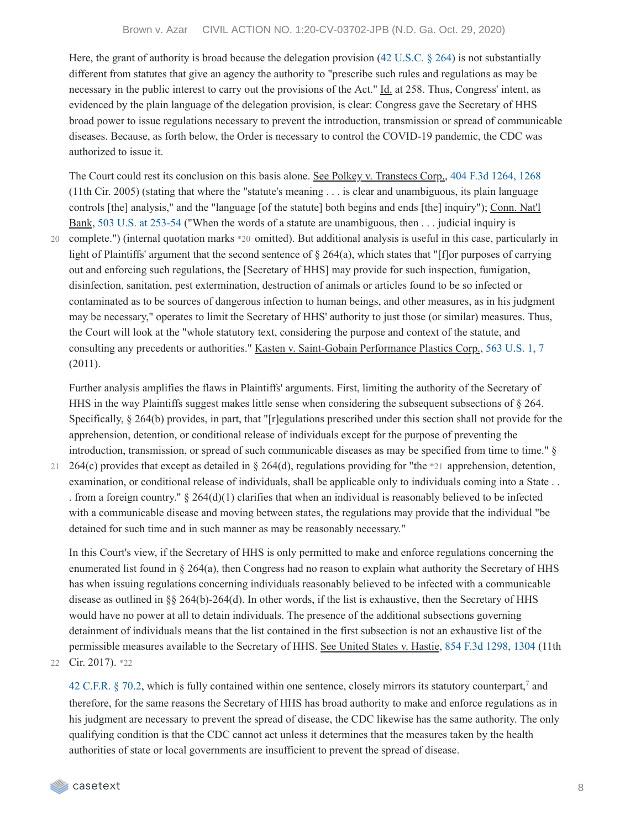Here, the grant of authority is broad because the delegation provision (42 [U.S.C.](https://casetext.com/statute/united-states-code/title-42-the-public-health-and-welfare/chapter-6a-public-health-service/subchapter-ii-general-powers-and-duties/part-g-quarantine-and-inspection/section-264-regulations-to-control-communicable-diseases) § 264) is not substantially different from statutes that give an agency the authority to "prescribe such rules and regulations as may be necessary in the public interest to carry out the provisions of the Act." Id. at 258. Thus, Congress' intent, as evidenced by the plain language of the delegation provision, is clear: Congress gave the Secretary of HHS broad power to issue regulations necessary to prevent the introduction, transmission or spread of communicable diseases. Because, as forth below, the Order is necessary to control the COVID-19 pandemic, the CDC was authorized to issue it.

The Court could rest its conclusion on this basis alone. See Polkey v. Transtecs Corp., 404 F.3d [1264,](https://casetext.com/case/polkey-v-transtecs-corp#p1268) 1268 (11th Cir. 2005) (stating that where the "statute's meaning . . . is clear and unambiguous, its plain language controls [the] analysis," and the "language [of the statute] both begins and ends [the] inquiry"); Conn. Nat'l Bank, 503 U.S. at [253-54](https://casetext.com/case/connecticut-national-bank-v-germain#p253) ("When the words of a statute are unambiguous, then . . . judicial inquiry is complete.") (internal quotation marks \*20 omitted). But additional analysis is useful in this case, particularly in 20 light of Plaintiffs' argument that the second sentence of  $\S 264(a)$ , which states that "[f]or purposes of carrying out and enforcing such regulations, the [Secretary of HHS] may provide for such inspection, fumigation, disinfection, sanitation, pest extermination, destruction of animals or articles found to be so infected or contaminated as to be sources of dangerous infection to human beings, and other measures, as in his judgment may be necessary," operates to limit the Secretary of HHS' authority to just those (or similar) measures. Thus, the Court will look at the "whole statutory text, considering the purpose and context of the statute, and consulting any precedents or authorities." Kasten v. Saint-Gobain Performance Plastics Corp., 563 [U.S.](https://casetext.com/case/kasten-v-saint-gobain-performance-plastics-corp#p7) 1, 7 (2011).

Further analysis amplifies the flaws in Plaintiffs' arguments. First, limiting the authority of the Secretary of HHS in the way Plaintiffs suggest makes little sense when considering the subsequent subsections of § 264. Specifically, § 264(b) provides, in part, that "[r]egulations prescribed under this section shall not provide for the apprehension, detention, or conditional release of individuals except for the purpose of preventing the introduction, transmission, or spread of such communicable diseases as may be specified from time to time." §

21 264(c) provides that except as detailed in § 264(d), regulations providing for "the \*21 apprehension, detention, examination, or conditional release of individuals, shall be applicable only to individuals coming into a State . . . from a foreign country."  $\S 264(d)(1)$  clarifies that when an individual is reasonably believed to be infected with a communicable disease and moving between states, the regulations may provide that the individual "be detained for such time and in such manner as may be reasonably necessary."

In this Court's view, if the Secretary of HHS is only permitted to make and enforce regulations concerning the enumerated list found in § 264(a), then Congress had no reason to explain what authority the Secretary of HHS has when issuing regulations concerning individuals reasonably believed to be infected with a communicable disease as outlined in §§ 264(b)-264(d). In other words, if the list is exhaustive, then the Secretary of HHS would have no power at all to detain individuals. The presence of the additional subsections governing detainment of individuals means that the list contained in the first subsection is not an exhaustive list of the permissible measures available to the Secretary of HHS. See United States v. Hastie, 854 F.3d [1298,](https://casetext.com/case/united-states-v-hastie-3#p1304) 1304 (11th 22 Cir. 2017). \*22

42 [C.F.R.](https://casetext.com/regulation/code-of-federal-regulations/title-42-public-health/chapter-i-public-health-service-department-of-health-and-human-services/subchapter-f-quarantine-inspection-licensing/part-70-interstate-quarantine/702-measures-in-the-event-of-inadequate-local-control)  $\S$  [7](https://casetext.com/_print/doc/brown-v-azar?_printIncludeHighlights=false&_printIncludeKeyPassages=false&_printIsTwoColumn=undefined#N197057)0.2, which is fully contained within one sentence, closely mirrors its statutory counterpart,<sup>7</sup> and therefore, for the same reasons the Secretary of HHS has broad authority to make and enforce regulations as in his judgment are necessary to prevent the spread of disease, the CDC likewise has the same authority. The only qualifying condition is that the CDC cannot act unless it determines that the measures taken by the health authorities of state or local governments are insufficient to prevent the spread of disease.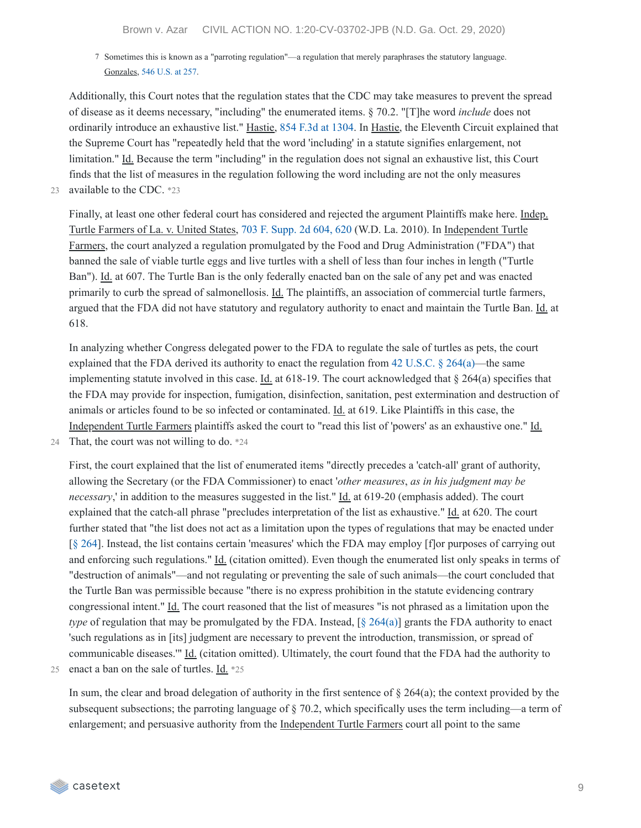7 Sometimes this is known as a "parroting regulation"—a regulation that merely paraphrases the statutory language. Gonzales, 546 [U.S.](https://casetext.com/case/gonzales-v-oregon-4#p257) at 257.

Additionally, this Court notes that the regulation states that the CDC may take measures to prevent the spread of disease as it deems necessary, "including" the enumerated items. § 70.2. "[T]he word *include* does not ordinarily introduce an exhaustive list." Hastie, 854 F.3d at [1304.](https://casetext.com/case/united-states-v-hastie-3#p1304) In Hastie, the Eleventh Circuit explained that the Supreme Court has "repeatedly held that the word 'including' in a statute signifies enlargement, not limitation." Id. Because the term "including" in the regulation does not signal an exhaustive list, this Court finds that the list of measures in the regulation following the word including are not the only measures 23 available to the CDC. \*23

Finally, at least one other federal court has considered and rejected the argument Plaintiffs make here. Indep. Turtle Farmers of La. v. United States, 703 F. [Supp.](https://casetext.com/case/independent-turtle-farmers-of-louisiana-v-us#p620) 2d 604, 620 (W.D. La. 2010). In Independent Turtle Farmers, the court analyzed a regulation promulgated by the Food and Drug Administration ("FDA") that banned the sale of viable turtle eggs and live turtles with a shell of less than four inches in length ("Turtle Ban"). Id. at 607. The Turtle Ban is the only federally enacted ban on the sale of any pet and was enacted primarily to curb the spread of salmonellosis. Id. The plaintiffs, an association of commercial turtle farmers, argued that the FDA did not have statutory and regulatory authority to enact and maintain the Turtle Ban. Id. at 618.

In analyzing whether Congress delegated power to the FDA to regulate the sale of turtles as pets, the court explained that the FDA derived its authority to enact the regulation from 42 [U.S.C.](https://casetext.com/statute/united-states-code/title-42-the-public-health-and-welfare/chapter-6a-public-health-service/subchapter-ii-general-powers-and-duties/part-g-quarantine-and-inspection/section-264-regulations-to-control-communicable-diseases) § 264(a)—the same implementing statute involved in this case. Id. at 618-19. The court acknowledged that  $\S$  264(a) specifies that the FDA may provide for inspection, fumigation, disinfection, sanitation, pest extermination and destruction of animals or articles found to be so infected or contaminated. Id. at 619. Like Plaintiffs in this case, the Independent Turtle Farmers plaintiffs asked the court to "read this list of 'powers' as an exhaustive one." Id.

24 That, the court was not willing to do. \*24

First, the court explained that the list of enumerated items "directly precedes a 'catch-all' grant of authority, allowing the Secretary (or the FDA Commissioner) to enact '*other measures*, *as in his judgment may be necessary*,' in addition to the measures suggested in the list." Id. at 619-20 (emphasis added). The court explained that the catch-all phrase "precludes interpretation of the list as exhaustive." Id. at 620. The court further stated that "the list does not act as a limitation upon the types of regulations that may be enacted under [§ [264](https://casetext.com/statute/united-states-code/title-42-the-public-health-and-welfare/chapter-6a-public-health-service/subchapter-ii-general-powers-and-duties/part-g-quarantine-and-inspection/section-264-regulations-to-control-communicable-diseases)]. Instead, the list contains certain 'measures' which the FDA may employ [f]or purposes of carrying out and enforcing such regulations." Id. (citation omitted). Even though the enumerated list only speaks in terms of "destruction of animals"—and not regulating or preventing the sale of such animals—the court concluded that the Turtle Ban was permissible because "there is no express prohibition in the statute evidencing contrary congressional intent." Id. The court reasoned that the list of measures "is not phrased as a limitation upon the *type* of regulation that may be promulgated by the FDA. Instead, [§ [264\(a\)](https://casetext.com/statute/united-states-code/title-42-the-public-health-and-welfare/chapter-6a-public-health-service/subchapter-ii-general-powers-and-duties/part-g-quarantine-and-inspection/section-264-regulations-to-control-communicable-diseases)] grants the FDA authority to enact 'such regulations as in [its] judgment are necessary to prevent the introduction, transmission, or spread of communicable diseases.'" Id. (citation omitted). Ultimately, the court found that the FDA had the authority to 25 enact a ban on the sale of turtles. Id. \*25

In sum, the clear and broad delegation of authority in the first sentence of  $\S 264(a)$ ; the context provided by the subsequent subsections; the parroting language of § 70.2, which specifically uses the term including—a term of enlargement; and persuasive authority from the Independent Turtle Farmers court all point to the same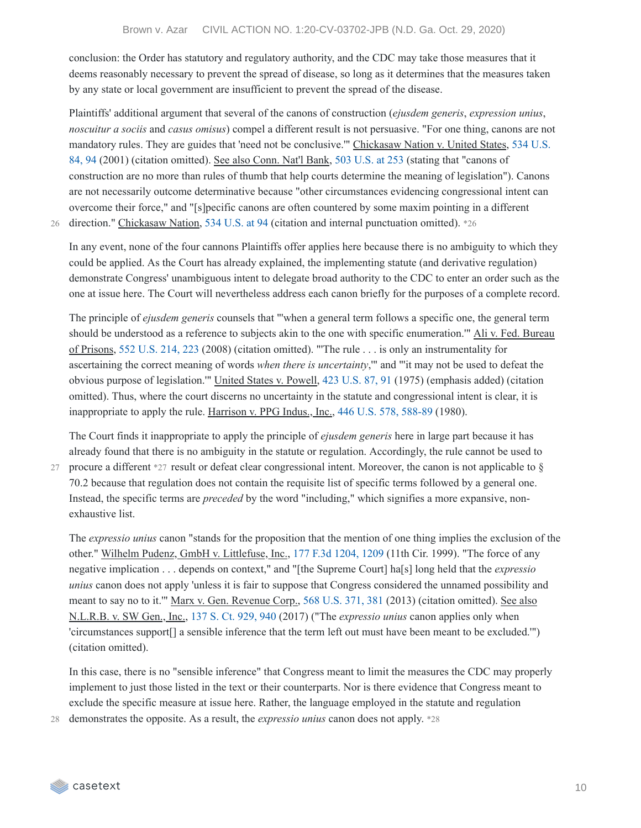conclusion: the Order has statutory and regulatory authority, and the CDC may take those measures that it deems reasonably necessary to prevent the spread of disease, so long as it determines that the measures taken by any state or local government are insufficient to prevent the spread of the disease.

Plaintiffs' additional argument that several of the canons of construction (*ejusdem generis*, *expression unius*, *noscuitur a sociis* and *casus omisus*) compel a different result is not persuasive. "For one thing, canons are not mandatory rules. They are guides that 'need not be [conclusive.'"](https://casetext.com/case/chickasaw-nation-v-us#p94) Chickasaw Nation v. United States, 534 U.S. 84, 94 (2001) (citation omitted). See also Conn. Nat'l Bank, 503 [U.S.](https://casetext.com/case/connecticut-national-bank-v-germain#p253) at 253 (stating that "canons of construction are no more than rules of thumb that help courts determine the meaning of legislation"). Canons are not necessarily outcome determinative because "other circumstances evidencing congressional intent can overcome their force," and "[s]pecific canons are often countered by some maxim pointing in a different 26 direction." Chickasaw Nation, 534 [U.S.](https://casetext.com/case/chickasaw-nation-v-us#p94) at 94 (citation and internal punctuation omitted). \*26

In any event, none of the four cannons Plaintiffs offer applies here because there is no ambiguity to which they could be applied. As the Court has already explained, the implementing statute (and derivative regulation) demonstrate Congress' unambiguous intent to delegate broad authority to the CDC to enter an order such as the one at issue here. The Court will nevertheless address each canon briefly for the purposes of a complete record.

The principle of *ejusdem generis* counsels that "'when a general term follows a specific one, the general term should be understood as a reference to subjects akin to the one with specific enumeration.'" Ali v. Fed. Bureau of Prisons, 552 [U.S.](https://casetext.com/case/ali-v-fed-bureau-of-prisons#p223) 214, 223 (2008) (citation omitted). "'The rule . . . is only an instrumentality for ascertaining the correct meaning of words *when there is uncertainty*,'" and "'it may not be used to defeat the obvious purpose of legislation.'" United States v. Powell, 423 [U.S.](https://casetext.com/case/united-states-v-powell#p91) 87, 91 (1975) (emphasis added) (citation omitted). Thus, where the court discerns no uncertainty in the statute and congressional intent is clear, it is inappropriate to apply the rule. Harrison v. PPG Indus., Inc., 446 U.S. 578, [588-89](https://casetext.com/case/harrison-v-ppg-industries-inc#p588) (1980).

The Court finds it inappropriate to apply the principle of *ejusdem generis* here in large part because it has already found that there is no ambiguity in the statute or regulation. Accordingly, the rule cannot be used to

27 procure a different \*27 result or defeat clear congressional intent. Moreover, the canon is not applicable to § 70.2 because that regulation does not contain the requisite list of specific terms followed by a general one. Instead, the specific terms are *preceded* by the word "including," which signifies a more expansive, nonexhaustive list.

The *expressio unius* canon "stands for the proposition that the mention of one thing implies the exclusion of the other." Wilhelm Pudenz, GmbH v. Littlefuse, Inc., 177 F.3d [1204,](https://casetext.com/case/pudenz-v-littlefuse-inc#p1209) 1209 (11th Cir. 1999). "The force of any negative implication . . . depends on context," and "[the Supreme Court] ha[s] long held that the *expressio unius* canon does not apply 'unless it is fair to suppose that Congress considered the unnamed possibility and meant to say no to it.'" Marx v. Gen. Revenue Corp., 568 [U.S.](https://casetext.com/case/marx-v-gen-revenue-corp-6#p381) 371, 381 (2013) (citation omitted). See also N.L.R.B. v. SW Gen., Inc., 137 S. Ct. [929,](https://casetext.com/case/natl-labor-relations-bd-v-sw-gen-inc#p940) 940 (2017) ("The *expressio unius* canon applies only when 'circumstances support[] a sensible inference that the term left out must have been meant to be excluded.'") (citation omitted).

In this case, there is no "sensible inference" that Congress meant to limit the measures the CDC may properly implement to just those listed in the text or their counterparts. Nor is there evidence that Congress meant to exclude the specific measure at issue here. Rather, the language employed in the statute and regulation

28 demonstrates the opposite. As a result, the *expressio unius* canon does not apply. \*28

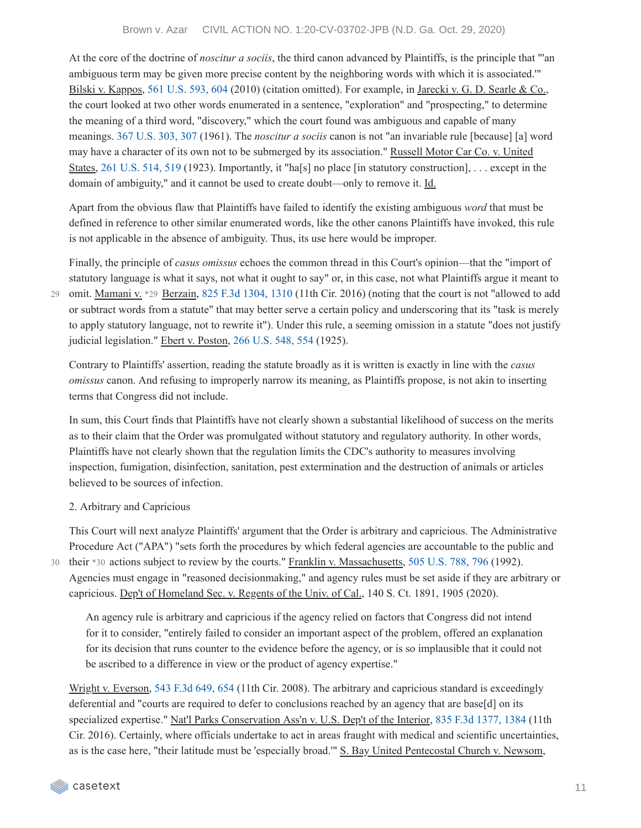[Brown v. Azar CIVIL ACTION NO. 1:20-CV-03702-JPB \(N.D. Ga. Oct. 29, 2020\)](https://casetext.com/case/brown-v-azar)

At the core of the doctrine of *noscitur a sociis*, the third canon advanced by Plaintiffs, is the principle that "'an ambiguous term may be given more precise content by the neighboring words with which it is associated.'" Bilski v. Kappos, 561 [U.S.](https://casetext.com/case/bilski-v-kappos#p604) 593, 604 (2010) (citation omitted). For example, in Jarecki v. G. D. Searle & Co., the court looked at two other words enumerated in a sentence, "exploration" and "prospecting," to determine the meaning of a third word, "discovery," which the court found was ambiguous and capable of many meanings. 367 [U.S.](https://casetext.com/case/jarecki-v-g-d-searle-co#p307) 303, 307 (1961). The *noscitur a sociis* canon is not "an invariable rule [because] [a] word may have a character of its own not to be submerged by its association." Russell Motor Car Co. v. United States, 261 [U.S.](https://casetext.com/case/russell-co-v-united-states#p519) 514, 519 (1923). Importantly, it "ha[s] no place [in statutory construction], ... except in the domain of ambiguity," and it cannot be used to create doubt—only to remove it. Id.

Apart from the obvious flaw that Plaintiffs have failed to identify the existing ambiguous *word* that must be defined in reference to other similar enumerated words, like the other canons Plaintiffs have invoked, this rule is not applicable in the absence of ambiguity. Thus, its use here would be improper.

Finally, the principle of *casus omissus* echoes the common thread in this Court's opinion—that the "import of statutory language is what it says, not what it ought to say" or, in this case, not what Plaintiffs argue it meant to 29 omit. Mamani v. \*29 Berzain, 825 F.3d [1304,](https://casetext.com/case/mamani-v-berzain-6#p1310) 1310 (11th Cir. 2016) (noting that the court is not "allowed to add or subtract words from a statute" that may better serve a certain policy and underscoring that its "task is merely to apply statutory language, not to rewrite it"). Under this rule, a seeming omission in a statute "does not justify judicial legislation." Ebert v. Poston, 266 [U.S.](https://casetext.com/case/ebert-v-poston#p554) 548, 554 (1925).

Contrary to Plaintiffs' assertion, reading the statute broadly as it is written is exactly in line with the *casus omissus* canon. And refusing to improperly narrow its meaning, as Plaintiffs propose, is not akin to inserting terms that Congress did not include.

In sum, this Court finds that Plaintiffs have not clearly shown a substantial likelihood of success on the merits as to their claim that the Order was promulgated without statutory and regulatory authority. In other words, Plaintiffs have not clearly shown that the regulation limits the CDC's authority to measures involving inspection, fumigation, disinfection, sanitation, pest extermination and the destruction of animals or articles believed to be sources of infection.

#### 2. Arbitrary and Capricious

This Court will next analyze Plaintiffs' argument that the Order is arbitrary and capricious. The Administrative Procedure Act ("APA") "sets forth the procedures by which federal agencies are accountable to the public and their \*30 actions subject to review by the courts." Franklin v. Massachusetts, 505 [U.S.](https://casetext.com/case/franklin-v-massachusetts#p796) 788, 796 (1992). Agencies must engage in "reasoned decisionmaking," and agency rules must be set aside if they are arbitrary or capricious. Dep't of Homeland Sec. v. Regents of the Univ. of Cal., 140 S. Ct. 1891, 1905 (2020).

An agency rule is arbitrary and capricious if the agency relied on factors that Congress did not intend for it to consider, "entirely failed to consider an important aspect of the problem, offered an explanation for its decision that runs counter to the evidence before the agency, or is so implausible that it could not be ascribed to a difference in view or the product of agency expertise."

Wright v. Everson, 543 F.3d [649,](https://casetext.com/case/wright-v-everson#p654) 654 (11th Cir. 2008). The arbitrary and capricious standard is exceedingly deferential and "courts are required to defer to conclusions reached by an agency that are base[d] on its specialized expertise." Nat'l Parks Conservation Ass'n v. U.S. Dep't of the Interior, 835 F.3d [1377,](https://casetext.com/case/natl-parks-conservation-assn-v-us-dept-of-the-interior-1#p1384) 1384 (11th Cir. 2016). Certainly, where officials undertake to act in areas fraught with medical and scientific uncertainties, as is the case here, "their latitude must be 'especially broad.'" S. Bay United Pentecostal Church v. Newsom,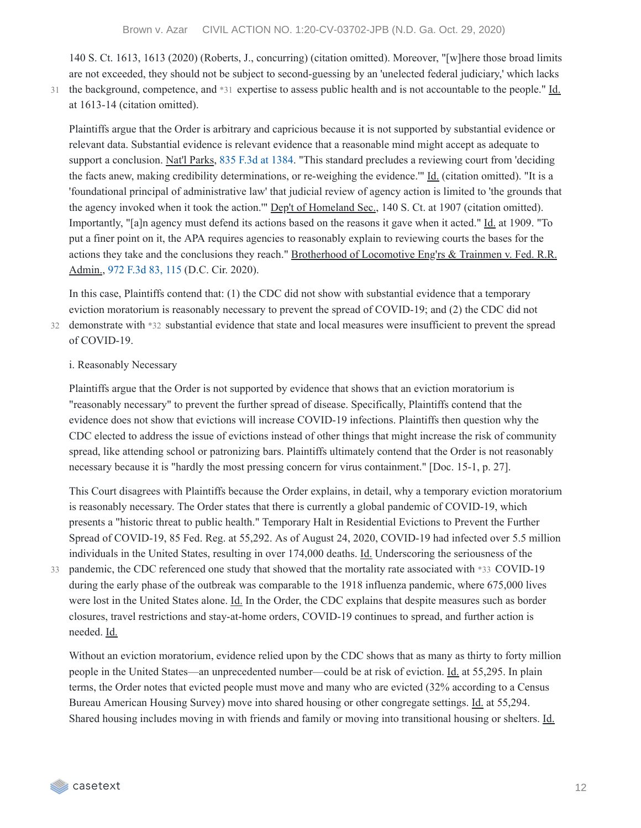140 S. Ct. 1613, 1613 (2020) (Roberts, J., concurring) (citation omitted). Moreover, "[w]here those broad limits are not exceeded, they should not be subject to second-guessing by an 'unelected federal judiciary,' which lacks 31 the background, competence, and \*31 expertise to assess public health and is not accountable to the people." Id.

Plaintiffs argue that the Order is arbitrary and capricious because it is not supported by substantial evidence or relevant data. Substantial evidence is relevant evidence that a reasonable mind might accept as adequate to support a conclusion. Nat'l Parks, 835 F.3d at [1384.](https://casetext.com/case/natl-parks-conservation-assn-v-us-dept-of-the-interior-1#p1384) "This standard precludes a reviewing court from 'deciding the facts anew, making credibility determinations, or re-weighing the evidence.'" Id. (citation omitted). "It is a 'foundational principal of administrative law' that judicial review of agency action is limited to 'the grounds that the agency invoked when it took the action."" Dep't of Homeland Sec., 140 S. Ct. at 1907 (citation omitted). Importantly, "[a]n agency must defend its actions based on the reasons it gave when it acted." Id. at 1909. "To put a finer point on it, the APA requires agencies to reasonably explain to reviewing courts the bases for the actions they take and the conclusions they reach." Brotherhood of Locomotive Eng'rs & Trainmen v. Fed. R.R. Admin., 972 [F.3d](https://casetext.com/case/bhd-of-locomotive-engrs-trainmen-v-fed-rr-admin#p115) 83, 115 (D.C. Cir. 2020).

In this case, Plaintiffs contend that: (1) the CDC did not show with substantial evidence that a temporary eviction moratorium is reasonably necessary to prevent the spread of COVID-19; and (2) the CDC did not

demonstrate with \*32 substantial evidence that state and local measures were insufficient to prevent the spread 32 of COVID-19.

#### i. Reasonably Necessary

at 1613-14 (citation omitted).

Plaintiffs argue that the Order is not supported by evidence that shows that an eviction moratorium is "reasonably necessary" to prevent the further spread of disease. Specifically, Plaintiffs contend that the evidence does not show that evictions will increase COVID-19 infections. Plaintiffs then question why the CDC elected to address the issue of evictions instead of other things that might increase the risk of community spread, like attending school or patronizing bars. Plaintiffs ultimately contend that the Order is not reasonably necessary because it is "hardly the most pressing concern for virus containment." [Doc. 15-1, p. 27].

This Court disagrees with Plaintiffs because the Order explains, in detail, why a temporary eviction moratorium is reasonably necessary. The Order states that there is currently a global pandemic of COVID-19, which presents a "historic threat to public health." Temporary Halt in Residential Evictions to Prevent the Further Spread of COVID-19, 85 Fed. Reg. at 55,292. As of August 24, 2020, COVID-19 had infected over 5.5 million individuals in the United States, resulting in over 174,000 deaths. Id. Underscoring the seriousness of the 33 pandemic, the CDC referenced one study that showed that the mortality rate associated with \*33 COVID-19 during the early phase of the outbreak was comparable to the 1918 influenza pandemic, where 675,000 lives were lost in the United States alone. Id. In the Order, the CDC explains that despite measures such as border closures, travel restrictions and stay-at-home orders, COVID-19 continues to spread, and further action is needed. Id.

Without an eviction moratorium, evidence relied upon by the CDC shows that as many as thirty to forty million people in the United States—an unprecedented number—could be at risk of eviction. Id. at 55,295. In plain terms, the Order notes that evicted people must move and many who are evicted (32% according to a Census Bureau American Housing Survey) move into shared housing or other congregate settings. Id. at 55,294. Shared housing includes moving in with friends and family or moving into transitional housing or shelters. Id.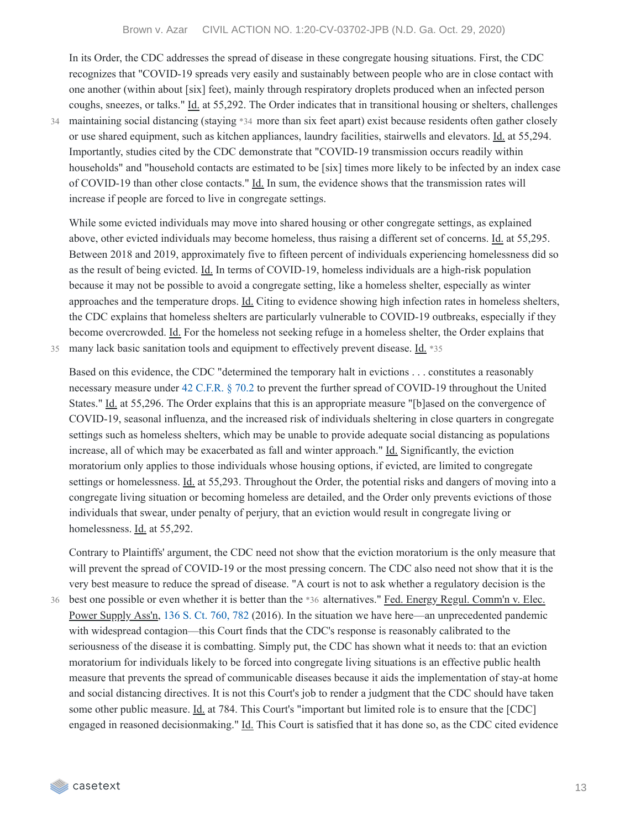In its Order, the CDC addresses the spread of disease in these congregate housing situations. First, the CDC recognizes that "COVID-19 spreads very easily and sustainably between people who are in close contact with one another (within about [six] feet), mainly through respiratory droplets produced when an infected person coughs, sneezes, or talks." Id. at 55,292. The Order indicates that in transitional housing or shelters, challenges maintaining social distancing (staying \*34 more than six feet apart) exist because residents often gather closely or use shared equipment, such as kitchen appliances, laundry facilities, stairwells and elevators. Id. at 55,294. Importantly, studies cited by the CDC demonstrate that "COVID-19 transmission occurs readily within households" and "household contacts are estimated to be [six] times more likely to be infected by an index case of COVID-19 than other close contacts." Id. In sum, the evidence shows that the transmission rates will increase if people are forced to live in congregate settings.

While some evicted individuals may move into shared housing or other congregate settings, as explained above, other evicted individuals may become homeless, thus raising a different set of concerns. Id. at 55,295. Between 2018 and 2019, approximately five to fifteen percent of individuals experiencing homelessness did so as the result of being evicted. Id. In terms of COVID-19, homeless individuals are a high-risk population because it may not be possible to avoid a congregate setting, like a homeless shelter, especially as winter approaches and the temperature drops. Id. Citing to evidence showing high infection rates in homeless shelters, the CDC explains that homeless shelters are particularly vulnerable to COVID-19 outbreaks, especially if they become overcrowded. Id. For the homeless not seeking refuge in a homeless shelter, the Order explains that 35 many lack basic sanitation tools and equipment to effectively prevent disease. Id. \*35

34

Based on this evidence, the CDC "determined the temporary halt in evictions . . . constitutes a reasonably necessary measure under 42 [C.F.R.](https://casetext.com/regulation/code-of-federal-regulations/title-42-public-health/chapter-i-public-health-service-department-of-health-and-human-services/subchapter-f-quarantine-inspection-licensing/part-70-interstate-quarantine/702-measures-in-the-event-of-inadequate-local-control) § 70.2 to prevent the further spread of COVID-19 throughout the United States." Id. at 55,296. The Order explains that this is an appropriate measure "[b]ased on the convergence of COVID-19, seasonal influenza, and the increased risk of individuals sheltering in close quarters in congregate settings such as homeless shelters, which may be unable to provide adequate social distancing as populations increase, all of which may be exacerbated as fall and winter approach." Id. Significantly, the eviction moratorium only applies to those individuals whose housing options, if evicted, are limited to congregate settings or homelessness. Id. at 55,293. Throughout the Order, the potential risks and dangers of moving into a congregate living situation or becoming homeless are detailed, and the Order only prevents evictions of those individuals that swear, under penalty of perjury, that an eviction would result in congregate living or homelessness. Id. at 55,292.

Contrary to Plaintiffs' argument, the CDC need not show that the eviction moratorium is the only measure that will prevent the spread of COVID-19 or the most pressing concern. The CDC also need not show that it is the very best measure to reduce the spread of disease. "A court is not to ask whether a regulatory decision is the

36 best one possible or even whether it is better than the \*36 alternatives." Fed. Energy Regul. Comm'n v. Elec. Power Supply Ass'n, 136 S. Ct. [760,](https://casetext.com/case/fed-energy-regulatory-commn-v-elec-power-supply-assn#p782) 782 (2016). In the situation we have here—an unprecedented pandemic with widespread contagion—this Court finds that the CDC's response is reasonably calibrated to the seriousness of the disease it is combatting. Simply put, the CDC has shown what it needs to: that an eviction moratorium for individuals likely to be forced into congregate living situations is an effective public health measure that prevents the spread of communicable diseases because it aids the implementation of stay-at home and social distancing directives. It is not this Court's job to render a judgment that the CDC should have taken some other public measure. Id. at 784. This Court's "important but limited role is to ensure that the [CDC] engaged in reasoned decisionmaking." Id. This Court is satisfied that it has done so, as the CDC cited evidence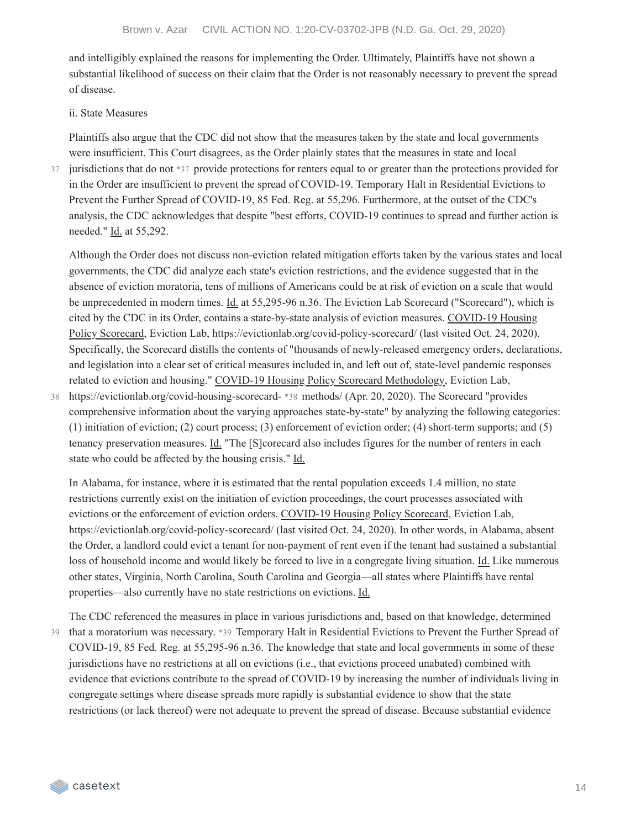and intelligibly explained the reasons for implementing the Order. Ultimately, Plaintiffs have not shown a substantial likelihood of success on their claim that the Order is not reasonably necessary to prevent the spread of disease.

#### ii. State Measures

Plaintiffs also argue that the CDC did not show that the measures taken by the state and local governments were insufficient. This Court disagrees, as the Order plainly states that the measures in state and local

37

jurisdictions that do not \*37 provide protections for renters equal to or greater than the protections provided for in the Order are insufficient to prevent the spread of COVID-19. Temporary Halt in Residential Evictions to Prevent the Further Spread of COVID-19, 85 Fed. Reg. at 55,296. Furthermore, at the outset of the CDC's analysis, the CDC acknowledges that despite "best efforts, COVID-19 continues to spread and further action is needed." Id. at 55,292.

Although the Order does not discuss non-eviction related mitigation efforts taken by the various states and local governments, the CDC did analyze each state's eviction restrictions, and the evidence suggested that in the absence of eviction moratoria, tens of millions of Americans could be at risk of eviction on a scale that would be unprecedented in modern times. Id. at 55,295-96 n.36. The Eviction Lab Scorecard ("Scorecard"), which is cited by the CDC in its Order, contains a state-by-state analysis of eviction measures. COVID-19 Housing Policy Scorecard, Eviction Lab, https://evictionlab.org/covid-policy-scorecard/ (last visited Oct. 24, 2020). Specifically, the Scorecard distills the contents of "thousands of newly-released emergency orders, declarations, and legislation into a clear set of critical measures included in, and left out of, state-level pandemic responses related to eviction and housing." COVID-19 Housing Policy Scorecard Methodology, Eviction Lab,

https://evictionlab.org/covid-housing-scorecard- \*38 methods/ (Apr. 20, 2020). The Scorecard "provides comprehensive information about the varying approaches state-by-state" by analyzing the following categories: (1) initiation of eviction; (2) court process; (3) enforcement of eviction order; (4) short-term supports; and (5) tenancy preservation measures. *Id.* "The [S]corecard also includes figures for the number of renters in each state who could be affected by the housing crisis." Id. 38

In Alabama, for instance, where it is estimated that the rental population exceeds 1.4 million, no state restrictions currently exist on the initiation of eviction proceedings, the court processes associated with evictions or the enforcement of eviction orders. COVID-19 Housing Policy Scorecard, Eviction Lab, https://evictionlab.org/covid-policy-scorecard/ (last visited Oct. 24, 2020). In other words, in Alabama, absent the Order, a landlord could evict a tenant for non-payment of rent even if the tenant had sustained a substantial loss of household income and would likely be forced to live in a congregate living situation. Id. Like numerous other states, Virginia, North Carolina, South Carolina and Georgia—all states where Plaintiffs have rental properties—also currently have no state restrictions on evictions. Id.

The CDC referenced the measures in place in various jurisdictions and, based on that knowledge, determined 39 that a moratorium was necessary. \*39 Temporary Halt in Residential Evictions to Prevent the Further Spread of COVID-19, 85 Fed. Reg. at 55,295-96 n.36. The knowledge that state and local governments in some of these jurisdictions have no restrictions at all on evictions (i.e., that evictions proceed unabated) combined with evidence that evictions contribute to the spread of COVID-19 by increasing the number of individuals living in congregate settings where disease spreads more rapidly is substantial evidence to show that the state restrictions (or lack thereof) were not adequate to prevent the spread of disease. Because substantial evidence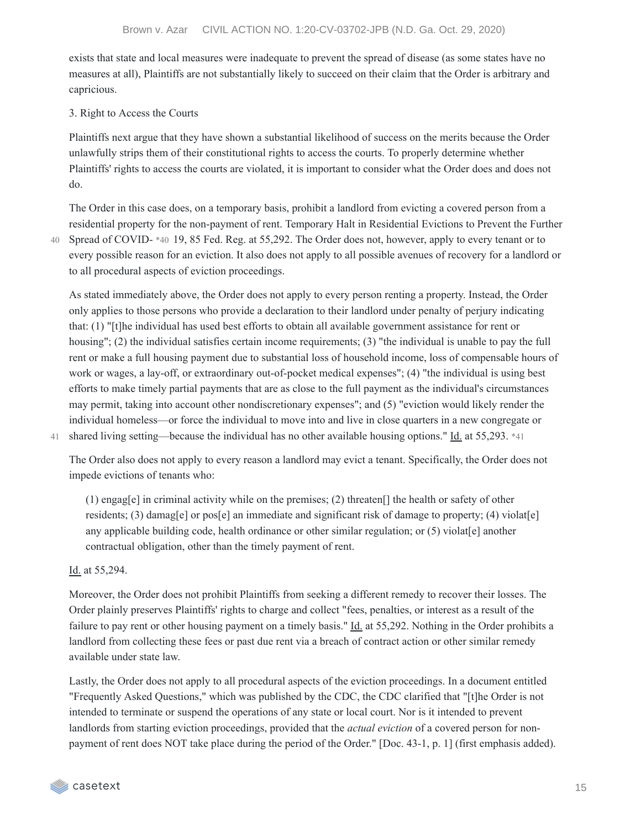exists that state and local measures were inadequate to prevent the spread of disease (as some states have no measures at all), Plaintiffs are not substantially likely to succeed on their claim that the Order is arbitrary and capricious.

### 3. Right to Access the Courts

Plaintiffs next argue that they have shown a substantial likelihood of success on the merits because the Order unlawfully strips them of their constitutional rights to access the courts. To properly determine whether Plaintiffs' rights to access the courts are violated, it is important to consider what the Order does and does not do.

The Order in this case does, on a temporary basis, prohibit a landlord from evicting a covered person from a residential property for the non-payment of rent. Temporary Halt in Residential Evictions to Prevent the Further Spread of COVID- \*40 19, 85 Fed. Reg. at 55,292. The Order does not, however, apply to every tenant or to 40 every possible reason for an eviction. It also does not apply to all possible avenues of recovery for a landlord or to all procedural aspects of eviction proceedings.

As stated immediately above, the Order does not apply to every person renting a property. Instead, the Order only applies to those persons who provide a declaration to their landlord under penalty of perjury indicating that: (1) "[t]he individual has used best efforts to obtain all available government assistance for rent or housing"; (2) the individual satisfies certain income requirements; (3) "the individual is unable to pay the full rent or make a full housing payment due to substantial loss of household income, loss of compensable hours of work or wages, a lay-off, or extraordinary out-of-pocket medical expenses"; (4) "the individual is using best efforts to make timely partial payments that are as close to the full payment as the individual's circumstances may permit, taking into account other nondiscretionary expenses"; and (5) "eviction would likely render the individual homeless—or force the individual to move into and live in close quarters in a new congregate or 41 shared living setting—because the individual has no other available housing options." Id. at 55,293. \*41

The Order also does not apply to every reason a landlord may evict a tenant. Specifically, the Order does not impede evictions of tenants who:

(1) engag[e] in criminal activity while on the premises; (2) threaten[] the health or safety of other residents; (3) damag[e] or pos[e] an immediate and significant risk of damage to property; (4) violat[e] any applicable building code, health ordinance or other similar regulation; or  $(5)$  violat[e] another contractual obligation, other than the timely payment of rent.

#### Id. at 55,294.

Moreover, the Order does not prohibit Plaintiffs from seeking a different remedy to recover their losses. The Order plainly preserves Plaintiffs' rights to charge and collect "fees, penalties, or interest as a result of the failure to pay rent or other housing payment on a timely basis." Id. at 55,292. Nothing in the Order prohibits a landlord from collecting these fees or past due rent via a breach of contract action or other similar remedy available under state law.

Lastly, the Order does not apply to all procedural aspects of the eviction proceedings. In a document entitled "Frequently Asked Questions," which was published by the CDC, the CDC clarified that "[t]he Order is not intended to terminate or suspend the operations of any state or local court. Nor is it intended to prevent landlords from starting eviction proceedings, provided that the *actual eviction* of a covered person for nonpayment of rent does NOT take place during the period of the Order." [Doc. 43-1, p. 1] (first emphasis added).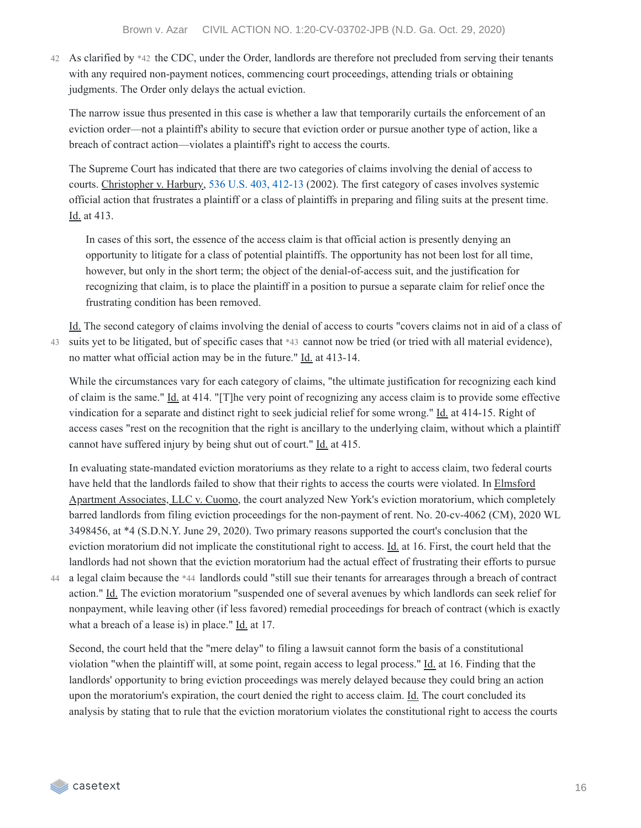As clarified by \*42 the CDC, under the Order, landlords are therefore not precluded from serving their tenants 42 with any required non-payment notices, commencing court proceedings, attending trials or obtaining judgments. The Order only delays the actual eviction.

The narrow issue thus presented in this case is whether a law that temporarily curtails the enforcement of an eviction order—not a plaintiff's ability to secure that eviction order or pursue another type of action, like a breach of contract action—violates a plaintiff's right to access the courts.

The Supreme Court has indicated that there are two categories of claims involving the denial of access to courts. Christopher v. Harbury, 536 U.S. 403, [412-13](https://casetext.com/case/christopher-v-harbury#p412) (2002). The first category of cases involves systemic official action that frustrates a plaintiff or a class of plaintiffs in preparing and filing suits at the present time. Id. at 413.

In cases of this sort, the essence of the access claim is that official action is presently denying an opportunity to litigate for a class of potential plaintiffs. The opportunity has not been lost for all time, however, but only in the short term; the object of the denial-of-access suit, and the justification for recognizing that claim, is to place the plaintiff in a position to pursue a separate claim for relief once the frustrating condition has been removed.

Id. The second category of claims involving the denial of access to courts "covers claims not in aid of a class of 43 suits yet to be litigated, but of specific cases that \*43 cannot now be tried (or tried with all material evidence), no matter what official action may be in the future." Id. at 413-14.

While the circumstances vary for each category of claims, "the ultimate justification for recognizing each kind of claim is the same." Id. at 414. "[T]he very point of recognizing any access claim is to provide some effective vindication for a separate and distinct right to seek judicial relief for some wrong." Id. at 414-15. Right of access cases "rest on the recognition that the right is ancillary to the underlying claim, without which a plaintiff cannot have suffered injury by being shut out of court." Id. at 415.

In evaluating state-mandated eviction moratoriums as they relate to a right to access claim, two federal courts have held that the landlords failed to show that their rights to access the courts were violated. In Elmsford Apartment Associates, LLC v. Cuomo, the court analyzed New York's eviction moratorium, which completely barred landlords from filing eviction proceedings for the non-payment of rent. No. 20-cv-4062 (CM), 2020 WL 3498456, at \*4 (S.D.N.Y. June 29, 2020). Two primary reasons supported the court's conclusion that the eviction moratorium did not implicate the constitutional right to access. Id. at 16. First, the court held that the landlords had not shown that the eviction moratorium had the actual effect of frustrating their efforts to pursue

a legal claim because the \*44 landlords could "still sue their tenants for arrearages through a breach of contract 44 action." Id. The eviction moratorium "suspended one of several avenues by which landlords can seek relief for nonpayment, while leaving other (if less favored) remedial proceedings for breach of contract (which is exactly what a breach of a lease is) in place." Id. at 17.

Second, the court held that the "mere delay" to filing a lawsuit cannot form the basis of a constitutional violation "when the plaintiff will, at some point, regain access to legal process." Id. at 16. Finding that the landlords' opportunity to bring eviction proceedings was merely delayed because they could bring an action upon the moratorium's expiration, the court denied the right to access claim. Id. The court concluded its analysis by stating that to rule that the eviction moratorium violates the constitutional right to access the courts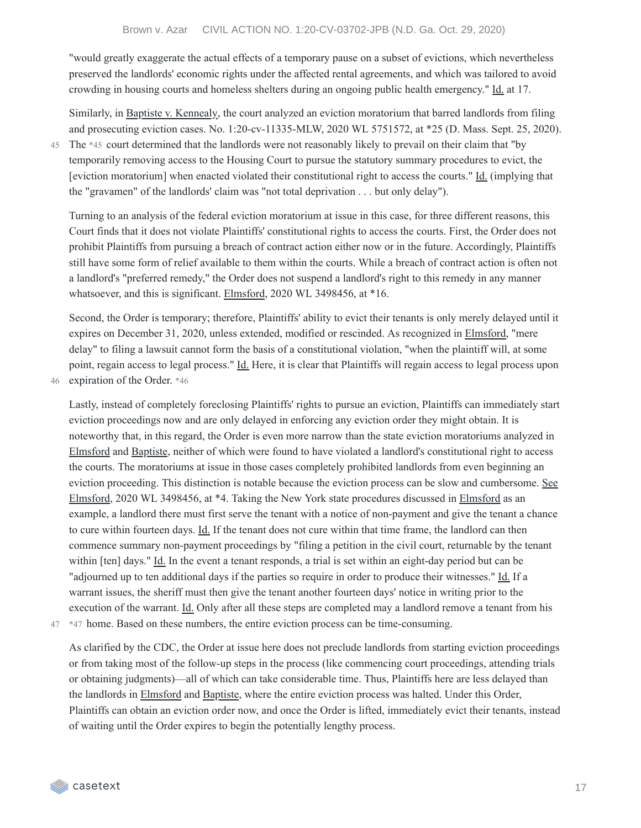"would greatly exaggerate the actual effects of a temporary pause on a subset of evictions, which nevertheless preserved the landlords' economic rights under the affected rental agreements, and which was tailored to avoid crowding in housing courts and homeless shelters during an ongoing public health emergency." Id. at 17.

Similarly, in Baptiste v. Kennealy, the court analyzed an eviction moratorium that barred landlords from filing and prosecuting eviction cases. No. 1:20-cv-11335-MLW, 2020 WL 5751572, at \*25 (D. Mass. Sept. 25, 2020).

45

The \*45 court determined that the landlords were not reasonably likely to prevail on their claim that "by temporarily removing access to the Housing Court to pursue the statutory summary procedures to evict, the [eviction moratorium] when enacted violated their constitutional right to access the courts." Id. (implying that the "gravamen" of the landlords' claim was "not total deprivation . . . but only delay").

Turning to an analysis of the federal eviction moratorium at issue in this case, for three different reasons, this Court finds that it does not violate Plaintiffs' constitutional rights to access the courts. First, the Order does not prohibit Plaintiffs from pursuing a breach of contract action either now or in the future. Accordingly, Plaintiffs still have some form of relief available to them within the courts. While a breach of contract action is often not a landlord's "preferred remedy," the Order does not suspend a landlord's right to this remedy in any manner whatsoever, and this is significant. Elmsford, 2020 WL 3498456, at \*16.

Second, the Order is temporary; therefore, Plaintiffs' ability to evict their tenants is only merely delayed until it expires on December 31, 2020, unless extended, modified or rescinded. As recognized in Elmsford, "mere delay" to filing a lawsuit cannot form the basis of a constitutional violation, "when the plaintiff will, at some point, regain access to legal process." Id. Here, it is clear that Plaintiffs will regain access to legal process upon 46 expiration of the Order. \*46

Lastly, instead of completely foreclosing Plaintiffs' rights to pursue an eviction, Plaintiffs can immediately start eviction proceedings now and are only delayed in enforcing any eviction order they might obtain. It is noteworthy that, in this regard, the Order is even more narrow than the state eviction moratoriums analyzed in Elmsford and Baptiste, neither of which were found to have violated a landlord's constitutional right to access the courts. The moratoriums at issue in those cases completely prohibited landlords from even beginning an eviction proceeding. This distinction is notable because the eviction process can be slow and cumbersome. See Elmsford, 2020 WL 3498456, at \*4. Taking the New York state procedures discussed in Elmsford as an example, a landlord there must first serve the tenant with a notice of non-payment and give the tenant a chance to cure within fourteen days. Id. If the tenant does not cure within that time frame, the landlord can then commence summary non-payment proceedings by "filing a petition in the civil court, returnable by the tenant within [ten] days." Id. In the event a tenant responds, a trial is set within an eight-day period but can be "adjourned up to ten additional days if the parties so require in order to produce their witnesses." Id. If a warrant issues, the sheriff must then give the tenant another fourteen days' notice in writing prior to the execution of the warrant. Id. Only after all these steps are completed may a landlord remove a tenant from his 47 \*47 home. Based on these numbers, the entire eviction process can be time-consuming.

As clarified by the CDC, the Order at issue here does not preclude landlords from starting eviction proceedings or from taking most of the follow-up steps in the process (like commencing court proceedings, attending trials or obtaining judgments)—all of which can take considerable time. Thus, Plaintiffs here are less delayed than the landlords in Elmsford and Baptiste, where the entire eviction process was halted. Under this Order, Plaintiffs can obtain an eviction order now, and once the Order is lifted, immediately evict their tenants, instead of waiting until the Order expires to begin the potentially lengthy process.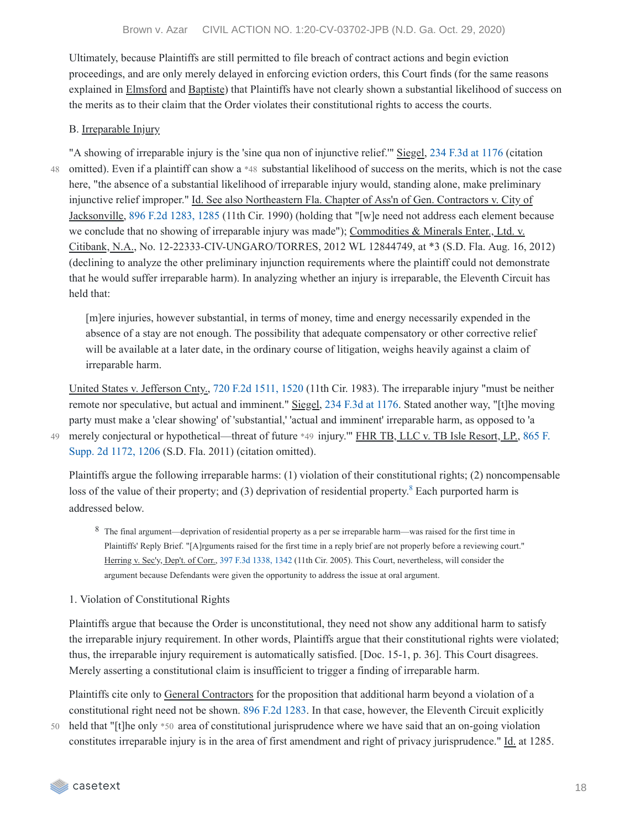Ultimately, because Plaintiffs are still permitted to file breach of contract actions and begin eviction proceedings, and are only merely delayed in enforcing eviction orders, this Court finds (for the same reasons explained in Elmsford and Baptiste) that Plaintiffs have not clearly shown a substantial likelihood of success on the merits as to their claim that the Order violates their constitutional rights to access the courts.

#### B. Irreparable Injury

48

"A showing of irreparable injury is the 'sine qua non of injunctive relief.'" Siegel, 234 F.3d at [1176](https://casetext.com/case/siegel-v-lepore-2#p1176) (citation omitted). Even if a plaintiff can show a \*48 substantial likelihood of success on the merits, which is not the case here, "the absence of a substantial likelihood of irreparable injury would, standing alone, make preliminary injunctive relief improper." Id. See also Northeastern Fla. Chapter of Ass'n of Gen. Contractors v. City of Jacksonville, 896 F.2d [1283,](https://casetext.com/case/northeastern-florida-chapter-v-jacksonville-2#p1285) 1285 (11th Cir. 1990) (holding that "[w]e need not address each element because we conclude that no showing of irreparable injury was made"); Commodities & Minerals Enter., Ltd. v. Citibank, N.A., No. 12-22333-CIV-UNGARO/TORRES, 2012 WL 12844749, at \*3 (S.D. Fla. Aug. 16, 2012) (declining to analyze the other preliminary injunction requirements where the plaintiff could not demonstrate that he would suffer irreparable harm). In analyzing whether an injury is irreparable, the Eleventh Circuit has held that:

[m]ere injuries, however substantial, in terms of money, time and energy necessarily expended in the absence of a stay are not enough. The possibility that adequate compensatory or other corrective relief will be available at a later date, in the ordinary course of litigation, weighs heavily against a claim of irreparable harm.

United States v. Jefferson Cnty., 720 F.2d [1511,](https://casetext.com/case/united-states-v-jefferson-county-2#p1520) 1520 (11th Cir. 1983). The irreparable injury "must be neither remote nor speculative, but actual and imminent." Siegel, 234 F.3d at [1176](https://casetext.com/case/siegel-v-lepore-2#p1176). Stated another way, "[t]he moving party must make a 'clear showing' of 'substantial,' 'actual and imminent' irreparable harm, as opposed to 'a merely conjectural or [hypothetical—threat](https://casetext.com/case/fhr-tb-llc-v-tb-isle-resort-lp#p1206) of future \*49 injury." FHR TB, LLC v. TB Isle Resort, LP., 865 F. Supp. 2d 1172, 1206 (S.D. Fla. 2011) (citation omitted).

Plaintiffs argue the following irreparable harms: (1) violation of their constitutional rights; (2) noncompensable loss of the value of their property; and (3) deprivation of residential property.<sup>[8](https://casetext.com/_print/doc/brown-v-azar?_printIncludeHighlights=false&_printIncludeKeyPassages=false&_printIsTwoColumn=undefined#N197725)</sup> Each purported harm is addressed below.

- 8 The final argument—deprivation of residential property as a per se irreparable harm—was raised for the first time in Plaintiffs' Reply Brief. "[A]rguments raised for the first time in a reply brief are not properly before a reviewing court." Herring v. Sec'y, Dep't. of Corr., 397 F.3d [1338,](https://casetext.com/case/herring-v-secretary-dept-of-corrections#p1342) 1342 (11th Cir. 2005). This Court, nevertheless, will consider the argument because Defendants were given the opportunity to address the issue at oral argument.
- 1. Violation of Constitutional Rights

Plaintiffs argue that because the Order is unconstitutional, they need not show any additional harm to satisfy the irreparable injury requirement. In other words, Plaintiffs argue that their constitutional rights were violated; thus, the irreparable injury requirement is automatically satisfied. [Doc. 15-1, p. 36]. This Court disagrees. Merely asserting a constitutional claim is insufficient to trigger a finding of irreparable harm.

Plaintiffs cite only to General Contractors for the proposition that additional harm beyond a violation of a constitutional right need not be shown. 896 F.2d [1283.](https://casetext.com/case/northeastern-florida-chapter-v-jacksonville-2) In that case, however, the Eleventh Circuit explicitly

50 held that "[t]he only \*50 area of constitutional jurisprudence where we have said that an on-going violation constitutes irreparable injury is in the area of first amendment and right of privacy jurisprudence." Id. at 1285.

49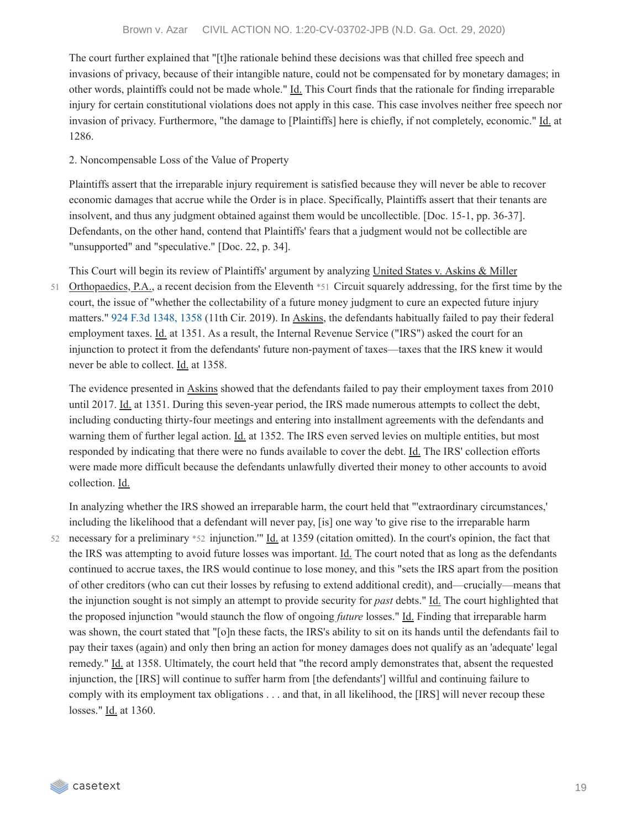The court further explained that "[t]he rationale behind these decisions was that chilled free speech and invasions of privacy, because of their intangible nature, could not be compensated for by monetary damages; in other words, plaintiffs could not be made whole." Id. This Court finds that the rationale for finding irreparable injury for certain constitutional violations does not apply in this case. This case involves neither free speech nor invasion of privacy. Furthermore, "the damage to [Plaintiffs] here is chiefly, if not completely, economic." Id. at 1286.

### 2. Noncompensable Loss of the Value of Property

Plaintiffs assert that the irreparable injury requirement is satisfied because they will never be able to recover economic damages that accrue while the Order is in place. Specifically, Plaintiffs assert that their tenants are insolvent, and thus any judgment obtained against them would be uncollectible. [Doc. 15-1, pp. 36-37]. Defendants, on the other hand, contend that Plaintiffs' fears that a judgment would not be collectible are "unsupported" and "speculative." [Doc. 22, p. 34].

This Court will begin its review of Plaintiffs' argument by analyzing United States v. Askins & Miller

Orthopaedics, P.A., a recent decision from the Eleventh \*51 Circuit squarely addressing, for the first time by the court, the issue of "whether the collectability of a future money judgment to cure an expected future injury matters." 924 F.3d [1348,](https://casetext.com/case/united-states-v-askins-miller-orthopaedics-pa-2#p1358) 1358 (11th Cir. 2019). In Askins, the defendants habitually failed to pay their federal employment taxes. Id. at 1351. As a result, the Internal Revenue Service ("IRS") asked the court for an injunction to protect it from the defendants' future non-payment of taxes—taxes that the IRS knew it would never be able to collect. Id. at 1358. 51

The evidence presented in Askins showed that the defendants failed to pay their employment taxes from 2010 until 2017. Id. at 1351. During this seven-year period, the IRS made numerous attempts to collect the debt, including conducting thirty-four meetings and entering into installment agreements with the defendants and warning them of further legal action. Id. at 1352. The IRS even served levies on multiple entities, but most responded by indicating that there were no funds available to cover the debt. Id. The IRS' collection efforts were made more difficult because the defendants unlawfully diverted their money to other accounts to avoid collection. Id.

In analyzing whether the IRS showed an irreparable harm, the court held that "'extraordinary circumstances,' including the likelihood that a defendant will never pay, [is] one way 'to give rise to the irreparable harm 52 necessary for a preliminary \*52 injunction." Id. at 1359 (citation omitted). In the court's opinion, the fact that the IRS was attempting to avoid future losses was important. Id. The court noted that as long as the defendants continued to accrue taxes, the IRS would continue to lose money, and this "sets the IRS apart from the position of other creditors (who can cut their losses by refusing to extend additional credit), and—crucially—means that the injunction sought is not simply an attempt to provide security for *past* debts." Id. The court highlighted that the proposed injunction "would staunch the flow of ongoing *future* losses." Id. Finding that irreparable harm was shown, the court stated that "[o]n these facts, the IRS's ability to sit on its hands until the defendants fail to pay their taxes (again) and only then bring an action for money damages does not qualify as an 'adequate' legal remedy." Id. at 1358. Ultimately, the court held that "the record amply demonstrates that, absent the requested injunction, the [IRS] will continue to suffer harm from [the defendants'] willful and continuing failure to comply with its employment tax obligations . . . and that, in all likelihood, the [IRS] will never recoup these losses." Id. at 1360.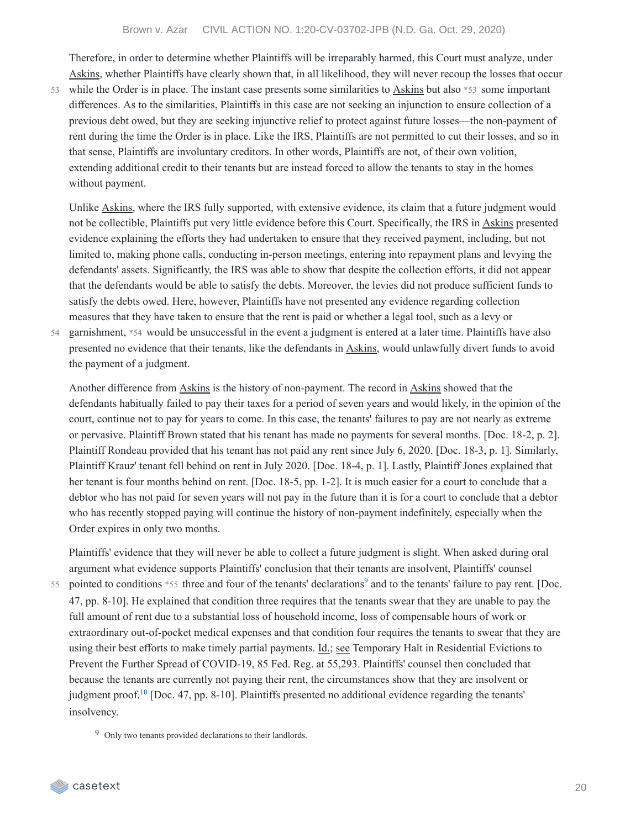Therefore, in order to determine whether Plaintiffs will be irreparably harmed, this Court must analyze, under Askins, whether Plaintiffs have clearly shown that, in all likelihood, they will never recoup the losses that occur

53 while the Order is in place. The instant case presents some similarities to  $\underline{Askins}$  but also \*53 some important differences. As to the similarities, Plaintiffs in this case are not seeking an injunction to ensure collection of a previous debt owed, but they are seeking injunctive relief to protect against future losses—the non-payment of rent during the time the Order is in place. Like the IRS, Plaintiffs are not permitted to cut their losses, and so in that sense, Plaintiffs are involuntary creditors. In other words, Plaintiffs are not, of their own volition, extending additional credit to their tenants but are instead forced to allow the tenants to stay in the homes without payment.

Unlike Askins, where the IRS fully supported, with extensive evidence, its claim that a future judgment would not be collectible, Plaintiffs put very little evidence before this Court. Specifically, the IRS in Askins presented evidence explaining the efforts they had undertaken to ensure that they received payment, including, but not limited to, making phone calls, conducting in-person meetings, entering into repayment plans and levying the defendants' assets. Significantly, the IRS was able to show that despite the collection efforts, it did not appear that the defendants would be able to satisfy the debts. Moreover, the levies did not produce sufficient funds to satisfy the debts owed. Here, however, Plaintiffs have not presented any evidence regarding collection measures that they have taken to ensure that the rent is paid or whether a legal tool, such as a levy or

54

garnishment, \*54 would be unsuccessful in the event a judgment is entered at a later time. Plaintiffs have also presented no evidence that their tenants, like the defendants in Askins, would unlawfully divert funds to avoid the payment of a judgment.

Another difference from Askins is the history of non-payment. The record in Askins showed that the defendants habitually failed to pay their taxes for a period of seven years and would likely, in the opinion of the court, continue not to pay for years to come. In this case, the tenants' failures to pay are not nearly as extreme or pervasive. Plaintiff Brown stated that his tenant has made no payments for several months. [Doc. 18-2, p. 2]. Plaintiff Rondeau provided that his tenant has not paid any rent since July 6, 2020. [Doc. 18-3, p. 1]. Similarly, Plaintiff Krauz' tenant fell behind on rent in July 2020. [Doc. 18-4, p. 1]. Lastly, Plaintiff Jones explained that her tenant is four months behind on rent. [Doc. 18-5, pp. 1-2]. It is much easier for a court to conclude that a debtor who has not paid for seven years will not pay in the future than it is for a court to conclude that a debtor who has recently stopped paying will continue the history of non-payment indefinitely, especially when the Order expires in only two months.

Plaintiffs' evidence that they will never be able to collect a future judgment is slight. When asked during oral argument what evidence supports Plaintiffs' conclusion that their tenants are insolvent, Plaintiffs' counsel

55 pointed to conditions  $*55$  three and four of the tenants' declarations<sup>[9](https://casetext.com/_print/doc/brown-v-azar?_printIncludeHighlights=false&_printIncludeKeyPassages=false&_printIsTwoColumn=undefined#N197862)</sup> and to the tenants' failure to pay rent. [Doc. 47, pp. 8-10]. He explained that condition three requires that the tenants swear that they are unable to pay the full amount of rent due to a substantial loss of household income, loss of compensable hours of work or extraordinary out-of-pocket medical expenses and that condition four requires the tenants to swear that they are using their best efforts to make timely partial payments. Id.; see Temporary Halt in Residential Evictions to Prevent the Further Spread of COVID-19, 85 Fed. Reg. at 55,293. Plaintiffs' counsel then concluded that because the tenants are currently not paying their rent, the circumstances show that they are insolvent or judgment proof.<sup>[10](https://casetext.com/_print/doc/brown-v-azar?_printIncludeHighlights=false&_printIncludeKeyPassages=false&_printIsTwoColumn=undefined#N197873)</sup> [Doc. 47, pp. 8-10]. Plaintiffs presented no additional evidence regarding the tenants' insolvency.

9 Only two tenants provided declarations to their landlords.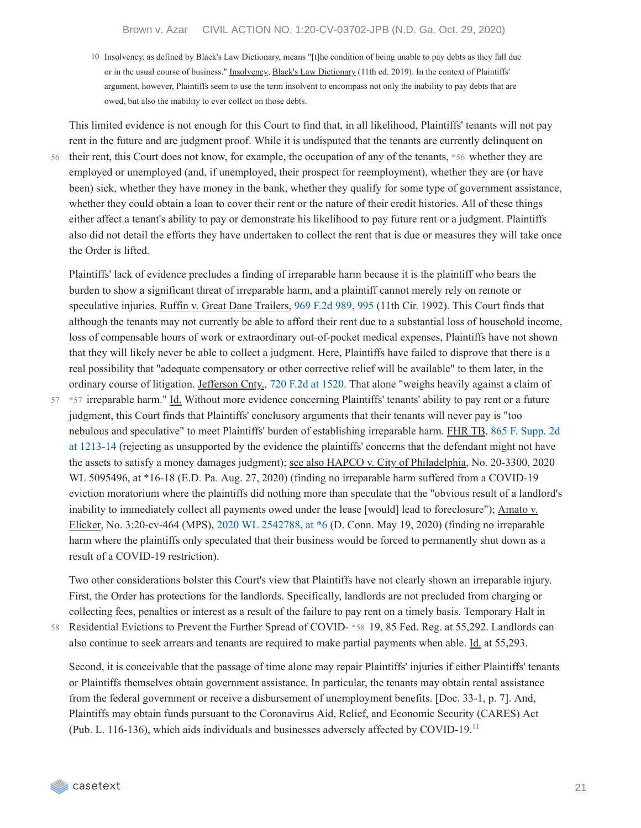10 Insolvency, as defined by Black's Law Dictionary, means "[t]he condition of being unable to pay debts as they fall due or in the usual course of business." Insolvency, Black's Law Dictionary (11th ed. 2019). In the context of Plaintiffs' argument, however, Plaintiffs seem to use the term insolvent to encompass not only the inability to pay debts that are owed, but also the inability to ever collect on those debts.

56

This limited evidence is not enough for this Court to find that, in all likelihood, Plaintiffs' tenants will not pay rent in the future and are judgment proof. While it is undisputed that the tenants are currently delinquent on their rent, this Court does not know, for example, the occupation of any of the tenants, \*56 whether they are employed or unemployed (and, if unemployed, their prospect for reemployment), whether they are (or have been) sick, whether they have money in the bank, whether they qualify for some type of government assistance, whether they could obtain a loan to cover their rent or the nature of their credit histories. All of these things either affect a tenant's ability to pay or demonstrate his likelihood to pay future rent or a judgment. Plaintiffs also did not detail the efforts they have undertaken to collect the rent that is due or measures they will take once the Order is lifted.

Plaintiffs' lack of evidence precludes a finding of irreparable harm because it is the plaintiff who bears the burden to show a significant threat of irreparable harm, and a plaintiff cannot merely rely on remote or speculative injuries. Ruffin v. Great Dane Trailers, 969 F.2d [989,](https://casetext.com/case/ruffin-v-great-dane-trailers#p995) 995 (11th Cir. 1992). This Court finds that although the tenants may not currently be able to afford their rent due to a substantial loss of household income, loss of compensable hours of work or extraordinary out-of-pocket medical expenses, Plaintiffs have not shown that they will likely never be able to collect a judgment. Here, Plaintiffs have failed to disprove that there is a real possibility that "adequate compensatory or other corrective relief will be available" to them later, in the ordinary course of litigation. Jefferson Cnty., 720 F.2d at [1520](https://casetext.com/case/united-states-v-jefferson-county-2#p1520). That alone "weighs heavily against a claim of

57 \*57 irreparable harm." Id. Without more evidence concerning Plaintiffs' tenants' ability to pay rent or a future judgment, this Court finds that Plaintiffs' conclusory arguments that their tenants will never pay is "too nebulous and speculative" to meet Plaintiffs' burden of establishing irreparable harm. FHR TB, 865 F. Supp. 2d at 1213-14 (rejecting as [unsupported](https://casetext.com/case/fhr-tb-llc-v-tb-isle-resort-lp#p1213) by the evidence the plaintiffs' concerns that the defendant might not have the assets to satisfy a money damages judgment); see also HAPCO v. City of Philadelphia, No. 20-3300, 2020 WL 5095496, at \*16-18 (E.D. Pa. Aug. 27, 2020) (finding no irreparable harm suffered from a COVID-19 eviction moratorium where the plaintiffs did nothing more than speculate that the "obvious result of a landlord's inability to immediately collect all payments owed under the lease [would] lead to foreclosure"); Amato v. Elicker, No. 3:20-cv-464 (MPS), 2020 WL [2542788,](https://casetext.com/case/amato-v-elicker#p6) at \*6 (D. Conn. May 19, 2020) (finding no irreparable harm where the plaintiffs only speculated that their business would be forced to permanently shut down as a result of a COVID-19 restriction).

Two other considerations bolster this Court's view that Plaintiffs have not clearly shown an irreparable injury. First, the Order has protections for the landlords. Specifically, landlords are not precluded from charging or collecting fees, penalties or interest as a result of the failure to pay rent on a timely basis. Temporary Halt in Residential Evictions to Prevent the Further Spread of COVID- \*58 19, 85 Fed. Reg. at 55,292. Landlords can

also continue to seek arrears and tenants are required to make partial payments when able. Id. at 55,293.

58

Second, it is conceivable that the passage of time alone may repair Plaintiffs' injuries if either Plaintiffs' tenants or Plaintiffs themselves obtain government assistance. In particular, the tenants may obtain rental assistance from the federal government or receive a disbursement of unemployment benefits. [Doc. 33-1, p. 7]. And, Plaintiffs may obtain funds pursuant to the Coronavirus Aid, Relief, and Economic Security (CARES) Act (Pub. L. 116-136), which aids individuals and businesses adversely affected by COVID-19. [11](https://casetext.com/_print/doc/brown-v-azar?_printIncludeHighlights=false&_printIncludeKeyPassages=false&_printIsTwoColumn=undefined#N197923)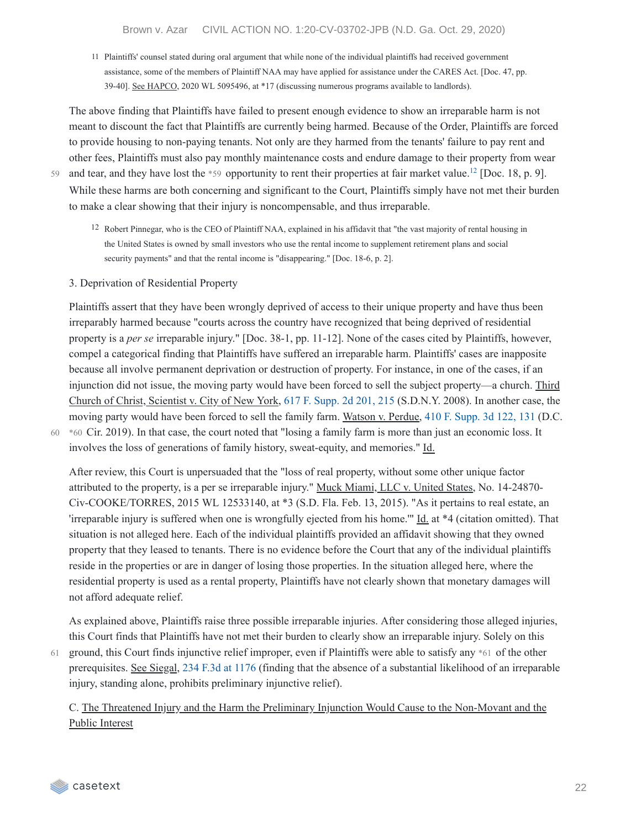11 Plaintiffs' counsel stated during oral argument that while none of the individual plaintiffs had received government assistance, some of the members of Plaintiff NAA may have applied for assistance under the CARES Act. [Doc. 47, pp. 39-40]. See HAPCO, 2020 WL 5095496, at \*17 (discussing numerous programs available to landlords).

The above finding that Plaintiffs have failed to present enough evidence to show an irreparable harm is not meant to discount the fact that Plaintiffs are currently being harmed. Because of the Order, Plaintiffs are forced to provide housing to non-paying tenants. Not only are they harmed from the tenants' failure to pay rent and other fees, Plaintiffs must also pay monthly maintenance costs and endure damage to their property from wear and tear, and they have lost the  $*59$  opportunity to rent their properties at fair market value.<sup>[12](https://casetext.com/_print/doc/brown-v-azar?_printIncludeHighlights=false&_printIncludeKeyPassages=false&_printIsTwoColumn=undefined#N197934)</sup> [Doc. 18, p. 9]. While these harms are both concerning and significant to the Court, Plaintiffs simply have not met their burden to make a clear showing that their injury is noncompensable, and thus irreparable.

59

3. Deprivation of Residential Property

Plaintiffs assert that they have been wrongly deprived of access to their unique property and have thus been irreparably harmed because "courts across the country have recognized that being deprived of residential property is a *per se* irreparable injury." [Doc. 38-1, pp. 11-12]. None of the cases cited by Plaintiffs, however, compel a categorical finding that Plaintiffs have suffered an irreparable harm. Plaintiffs' cases are inapposite because all involve permanent deprivation or destruction of property. For instance, in one of the cases, if an injunction did not issue, the moving party would have been forced to sell the subject property—a church. Third Church of Christ, Scientist v. City of New York, 617 F. [Supp.](https://casetext.com/case/third-church-of-christ-v-city-of-new-york-2#p215) 2d 201, 215 (S.D.N.Y. 2008). In another case, the moving party would have been forced to sell the family farm. Watson v. Perdue, 410 F. [Supp.](https://casetext.com/case/watson-v-perdue#p131) 3d 122, 131 (D.C. \*60 Cir. 2019). In that case, the court noted that "losing a family farm is more than just an economic loss. It involves the loss of generations of family history, sweat-equity, and memories." Id.

60

61

After review, this Court is unpersuaded that the "loss of real property, without some other unique factor attributed to the property, is a per se irreparable injury." Muck Miami, LLC v. United States, No. 14-24870- Civ-COOKE/TORRES, 2015 WL 12533140, at \*3 (S.D. Fla. Feb. 13, 2015). "As it pertains to real estate, an 'irreparable injury is suffered when one is wrongfully ejected from his home.'" Id. at \*4 (citation omitted). That situation is not alleged here. Each of the individual plaintiffs provided an affidavit showing that they owned property that they leased to tenants. There is no evidence before the Court that any of the individual plaintiffs reside in the properties or are in danger of losing those properties. In the situation alleged here, where the residential property is used as a rental property, Plaintiffs have not clearly shown that monetary damages will not afford adequate relief.

As explained above, Plaintiffs raise three possible irreparable injuries. After considering those alleged injuries, this Court finds that Plaintiffs have not met their burden to clearly show an irreparable injury. Solely on this ground, this Court finds injunctive relief improper, even if Plaintiffs were able to satisfy any \*61 of the other prerequisites. See Siegal, 234 F.3d at [1176](https://casetext.com/case/siegel-v-lepore-2#p1176) (finding that the absence of a substantial likelihood of an irreparable injury, standing alone, prohibits preliminary injunctive relief).

C. The Threatened Injury and the Harm the Preliminary Injunction Would Cause to the Non-Movant and the Public Interest

<sup>12</sup> Robert Pinnegar, who is the CEO of Plaintiff NAA, explained in his affidavit that "the vast majority of rental housing in the United States is owned by small investors who use the rental income to supplement retirement plans and social security payments" and that the rental income is "disappearing." [Doc. 18-6, p. 2].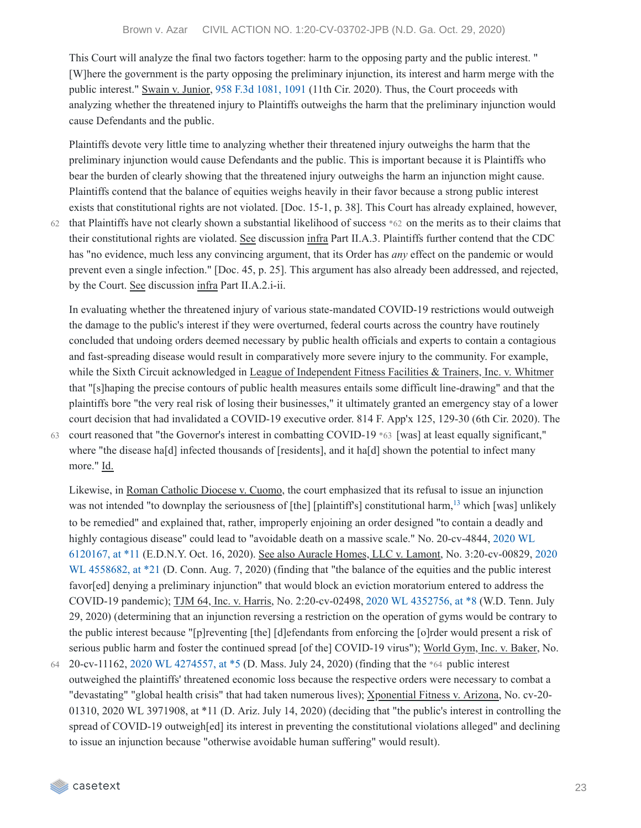This Court will analyze the final two factors together: harm to the opposing party and the public interest. " [W]here the government is the party opposing the preliminary injunction, its interest and harm merge with the public interest." Swain v. Junior, 958 F.3d [1081,](https://casetext.com/case/swain-v-junior-2#p1091) 1091 (11th Cir. 2020). Thus, the Court proceeds with analyzing whether the threatened injury to Plaintiffs outweighs the harm that the preliminary injunction would cause Defendants and the public.

Plaintiffs devote very little time to analyzing whether their threatened injury outweighs the harm that the preliminary injunction would cause Defendants and the public. This is important because it is Plaintiffs who bear the burden of clearly showing that the threatened injury outweighs the harm an injunction might cause. Plaintiffs contend that the balance of equities weighs heavily in their favor because a strong public interest exists that constitutional rights are not violated. [Doc. 15-1, p. 38]. This Court has already explained, however,

 $62$  that Plaintiffs have not clearly shown a substantial likelihood of success  $*62$  on the merits as to their claims that their constitutional rights are violated. See discussion infra Part II.A.3. Plaintiffs further contend that the CDC has "no evidence, much less any convincing argument, that its Order has *any* effect on the pandemic or would prevent even a single infection." [Doc. 45, p. 25]. This argument has also already been addressed, and rejected, by the Court. See discussion infra Part II.A.2.i-ii.

In evaluating whether the threatened injury of various state-mandated COVID-19 restrictions would outweigh the damage to the public's interest if they were overturned, federal courts across the country have routinely concluded that undoing orders deemed necessary by public health officials and experts to contain a contagious and fast-spreading disease would result in comparatively more severe injury to the community. For example, while the Sixth Circuit acknowledged in League of Independent Fitness Facilities & Trainers, Inc. v. Whitmer that "[s]haping the precise contours of public health measures entails some difficult line-drawing" and that the plaintiffs bore "the very real risk of losing their businesses," it ultimately granted an emergency stay of a lower court decision that had invalidated a COVID-19 executive order. 814 F. App'x 125, 129-30 (6th Cir. 2020). The court reasoned that "the Governor's interest in combatting COVID-19 \*63 [was] at least equally significant," 63 where "the disease hald] infected thousands of [residents], and it hald] shown the potential to infect many more." Id.

Likewise, in Roman Catholic Diocese v. Cuomo, the court emphasized that its refusal to issue an injunction was not intended "to downplay the seriousness of [the] [plaintiff's] constitutional harm,  $^{13}$  $^{13}$  $^{13}$  which [was] unlikely to be remedied" and explained that, rather, improperly enjoining an order designed "to contain a deadly and highly contagious disease" could lead to "avoidable death on a massive scale." No. 20-cv-4844, 2020 WL 6120167, at \*11 (E.D.N.Y. Oct. 16, 2020). See also Auracle Homes, LLC v. Lamont, No. [3:20-cv-00829,](https://casetext.com/case/roman-catholic-diocese-of-brooklyn-v-cuomo#p11) 2020 WL 4558682, at \*21 (D. Conn. Aug. 7, 2020) (finding that "the balance of the equities and the public interest favor[ed] denying a preliminary injunction" that would block an eviction moratorium entered to address the COVID-19 pandemic); TJM 64, Inc. v. Harris, No. 2:20-cv-02498, 2020 WL [4352756,](https://casetext.com/case/tjm-64-inc-v-shelby-cnty-mayor#p8) at \*8 (W.D. Tenn. July 29, 2020) (determining that an injunction reversing a restriction on the operation of gyms would be contrary to the public interest because "[p]reventing [the] [d]efendants from enforcing the [o]rder would present a risk of serious public harm and foster the continued spread [of the] COVID-19 virus"); World Gym, Inc. v. Baker, No.

20-cv-11162, 2020 WL [4274557,](https://casetext.com/case/world-gym-inc-v-baker#p5) at \*5 (D. Mass. July 24, 2020) (finding that the \*64 public interest outweighed the plaintiffs' threatened economic loss because the respective orders were necessary to combat a "devastating" "global health crisis" that had taken numerous lives); Xponential Fitness v. Arizona, No. cv-20- 01310, 2020 WL 3971908, at \*11 (D. Ariz. July 14, 2020) (deciding that "the public's interest in controlling the spread of COVID-19 outweigh[ed] its interest in preventing the constitutional violations alleged" and declining to issue an injunction because "otherwise avoidable human suffering" would result). 64